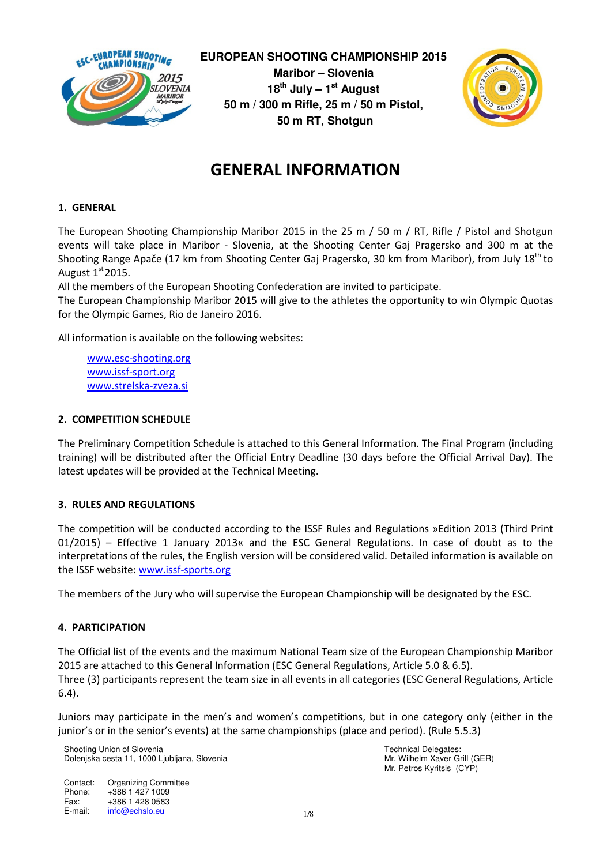

**EUROPEAN SHOOTING CHAMPIONSHIP 2015 Maribor – Slovenia 18th July – 1st August 50 m / 300 m Rifle, 25 m / 50 m Pistol, 50 m RT, Shotgun**



# GENERAL INFORMATION

### 1. GENERAL

The European Shooting Championship Maribor 2015 in the 25 m / 50 m / RT, Rifle / Pistol and Shotgun events will take place in Maribor - Slovenia, at the Shooting Center Gaj Pragersko and 300 m at the Shooting Range Apače (17 km from Shooting Center Gaj Pragersko, 30 km from Maribor), from July 18<sup>th</sup> to August  $1<sup>st</sup>2015$ .

All the members of the European Shooting Confederation are invited to participate.

The European Championship Maribor 2015 will give to the athletes the opportunity to win Olympic Quotas for the Olympic Games, Rio de Janeiro 2016.

All information is available on the following websites:

www.esc-shooting.org www.issf-sport.org www.strelska-zveza.si

### 2. COMPETITION SCHEDULE

The Preliminary Competition Schedule is attached to this General Information. The Final Program (including training) will be distributed after the Official Entry Deadline (30 days before the Official Arrival Day). The latest updates will be provided at the Technical Meeting.

### 3. RULES AND REGULATIONS

The competition will be conducted according to the ISSF Rules and Regulations »Edition 2013 (Third Print 01/2015) – Effective 1 January 2013« and the ESC General Regulations. In case of doubt as to the interpretations of the rules, the English version will be considered valid. Detailed information is available on the ISSF website: www.issf-sports.org

The members of the Jury who will supervise the European Championship will be designated by the ESC.

### 4. PARTICIPATION

The Official list of the events and the maximum National Team size of the European Championship Maribor 2015 are attached to this General Information (ESC General Regulations, Article 5.0 & 6.5). Three (3) participants represent the team size in all events in all categories (ESC General Regulations, Article 6.4).

Juniors may participate in the men's and women's competitions, but in one category only (either in the junior's or in the senior's events) at the same championships (place and period). (Rule 5.5.3)

Shooting Union of Slovenia Dolenjska cesta 11, 1000 Ljubljana, Slovenia

Contact: Phone: Fax: E-mail: Organizing Committee +386 1 427 1009 +386 1 428 0583 info@echslo.eu 1/8 Technical Delegates: Mr. Wilhelm Xaver Grill (GER) Mr. Petros Kyritsis (CYP)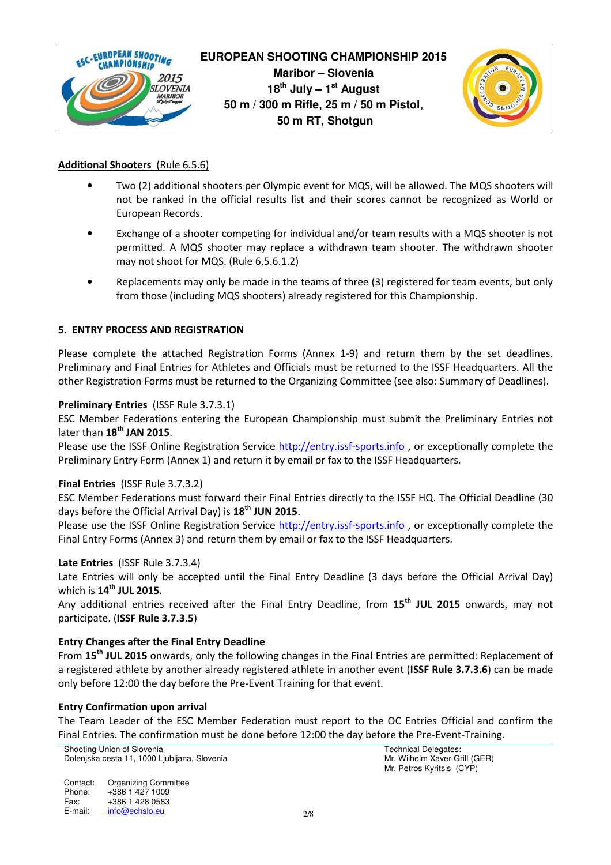

### Additional Shooters (Rule 6.5.6)

- Two (2) additional shooters per Olympic event for MQS, will be allowed. The MQS shooters will not be ranked in the official results list and their scores cannot be recognized as World or European Records.
- Exchange of a shooter competing for individual and/or team results with a MQS shooter is not permitted. A MQS shooter may replace a withdrawn team shooter. The withdrawn shooter may not shoot for MQS. (Rule 6.5.6.1.2)
- Replacements may only be made in the teams of three (3) registered for team events, but only from those (including MQS shooters) already registered for this Championship.

### 5. ENTRY PROCESS AND REGISTRATION

Please complete the attached Registration Forms (Annex 1-9) and return them by the set deadlines. Preliminary and Final Entries for Athletes and Officials must be returned to the ISSF Headquarters. All the other Registration Forms must be returned to the Organizing Committee (see also: Summary of Deadlines).

### Preliminary Entries (ISSF Rule 3.7.3.1)

ESC Member Federations entering the European Championship must submit the Preliminary Entries not later than  $18<sup>th</sup>$  JAN 2015.

Please use the ISSF Online Registration Service http://entry.issf-sports.info , or exceptionally complete the Preliminary Entry Form (Annex 1) and return it by email or fax to the ISSF Headquarters.

### Final Entries (ISSF Rule 3.7.3.2)

ESC Member Federations must forward their Final Entries directly to the ISSF HQ. The Official Deadline (30 days before the Official Arrival Day) is 18<sup>th</sup> JUN 2015.

Please use the ISSF Online Registration Service http://entry.issf-sports.info, or exceptionally complete the Final Entry Forms (Annex 3) and return them by email or fax to the ISSF Headquarters.

### Late Entries (ISSF Rule 3.7.3.4)

Late Entries will only be accepted until the Final Entry Deadline (3 days before the Official Arrival Day) which is  $14^{\text{th}}$  JUL 2015.

Any additional entries received after the Final Entry Deadline, from 15<sup>th</sup> JUL 2015 onwards, may not participate. (ISSF Rule 3.7.3.5)

### Entry Changes after the Final Entry Deadline

From 15<sup>th</sup> JUL 2015 onwards, only the following changes in the Final Entries are permitted: Replacement of a registered athlete by another already registered athlete in another event (ISSF Rule 3.7.3.6) can be made only before 12:00 the day before the Pre-Event Training for that event.

### Entry Confirmation upon arrival

The Team Leader of the ESC Member Federation must report to the OC Entries Official and confirm the Final Entries. The confirmation must be done before 12:00 the day before the Pre-Event-Training.

Shooting Union of Slovenia Dolenjska cesta 11, 1000 Ljubljana, Slovenia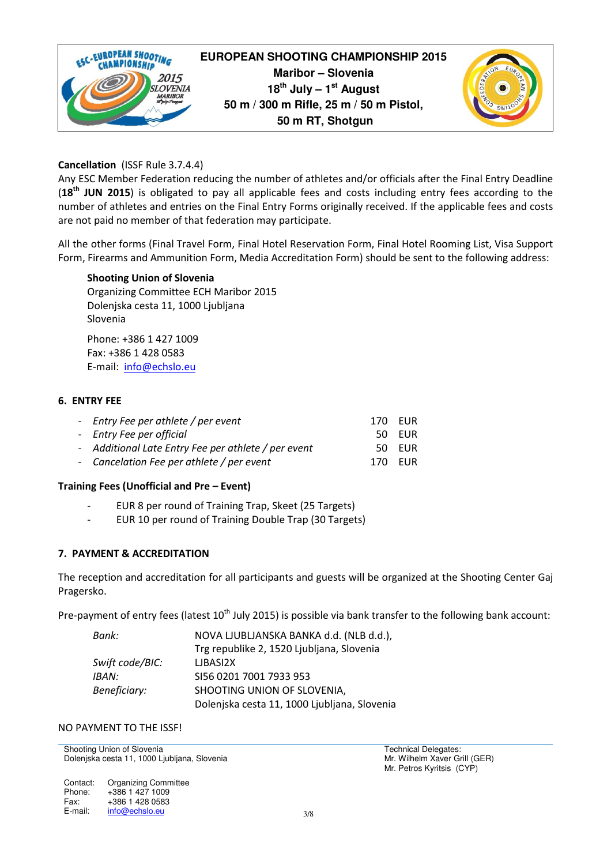

### Cancellation (ISSF Rule 3.7.4.4)

Any ESC Member Federation reducing the number of athletes and/or officials after the Final Entry Deadline (18<sup>th</sup> JUN 2015) is obligated to pay all applicable fees and costs including entry fees according to the number of athletes and entries on the Final Entry Forms originally received. If the applicable fees and costs are not paid no member of that federation may participate.

All the other forms (Final Travel Form, Final Hotel Reservation Form, Final Hotel Rooming List, Visa Support Form, Firearms and Ammunition Form, Media Accreditation Form) should be sent to the following address:

### Shooting Union of Slovenia

Organizing Committee ECH Maribor 2015 Dolenjska cesta 11, 1000 Ljubljana Slovenia

Phone: +386 1 427 1009 Fax: +386 1 428 0583 E-mail: info@echslo.eu

### 6. ENTRY FEE

| - Entry Fee per athlete / per event                 | 170 EUR |        |
|-----------------------------------------------------|---------|--------|
| - Entry Fee per official                            |         | 50 EUR |
| - Additional Late Entry Fee per athlete / per event |         | 50 EUR |
| - Cancelation Fee per athlete / per event           | 170 EUR |        |

### Training Fees (Unofficial and Pre – Event)

- EUR 8 per round of Training Trap, Skeet (25 Targets)
- EUR 10 per round of Training Double Trap (30 Targets)

### 7. PAYMENT & ACCREDITATION

The reception and accreditation for all participants and guests will be organized at the Shooting Center Gaj Pragersko.

Pre-payment of entry fees (latest 10<sup>th</sup> July 2015) is possible via bank transfer to the following bank account:

| Bank:           | NOVA LJUBLJANSKA BANKA d.d. (NLB d.d.),      |
|-----------------|----------------------------------------------|
|                 | Trg republike 2, 1520 Ljubljana, Slovenia    |
| Swift code/BIC: | LJBASI2X                                     |
| IBAN:           | SI56 0201 7001 7933 953                      |
| Beneficiary:    | SHOOTING UNION OF SLOVENIA,                  |
|                 | Dolenjska cesta 11, 1000 Ljubljana, Slovenia |

### NO PAYMENT TO THE ISSF!

Shooting Union of Slovenia Dolenjska cesta 11, 1000 Ljubljana, Slovenia

Contact: Phone: Fax: E-mail: Organizing Committee +386 1 427 1009 +386 1 428 0583 info@echslo.eu 3/8 Technical Delegates: Mr. Wilhelm Xaver Grill (GER) Mr. Petros Kyritsis (CYP)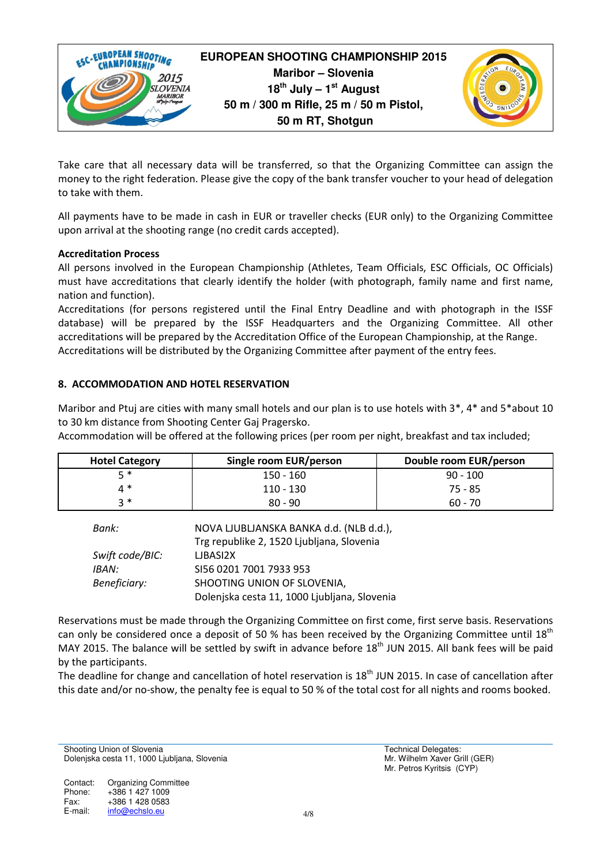

Take care that all necessary data will be transferred, so that the Organizing Committee can assign the money to the right federation. Please give the copy of the bank transfer voucher to your head of delegation to take with them.

All payments have to be made in cash in EUR or traveller checks (EUR only) to the Organizing Committee upon arrival at the shooting range (no credit cards accepted).

### Accreditation Process

All persons involved in the European Championship (Athletes, Team Officials, ESC Officials, OC Officials) must have accreditations that clearly identify the holder (with photograph, family name and first name, nation and function).

Accreditations (for persons registered until the Final Entry Deadline and with photograph in the ISSF database) will be prepared by the ISSF Headquarters and the Organizing Committee. All other accreditations will be prepared by the Accreditation Office of the European Championship, at the Range. Accreditations will be distributed by the Organizing Committee after payment of the entry fees.

### 8. ACCOMMODATION AND HOTEL RESERVATION

Maribor and Ptuj are cities with many small hotels and our plan is to use hotels with 3\*, 4\* and 5\*about 10 to 30 km distance from Shooting Center Gaj Pragersko.

Accommodation will be offered at the following prices (per room per night, breakfast and tax included;

| <b>Hotel Category</b> | Single room EUR/person | Double room EUR/person |
|-----------------------|------------------------|------------------------|
| 5*                    | 150 - 160              | $90 - 100$             |
| ⊿ *                   | 110 - 130              | 75 - 85                |
| י 2                   | $80 - 90$              | $60 - 70$              |

| Bank:           | NOVA LJUBLJANSKA BANKA d.d. (NLB d.d.),      |
|-----------------|----------------------------------------------|
|                 | Trg republike 2, 1520 Ljubljana, Slovenia    |
| Swift code/BIC: | LJBASI2X                                     |
| IBAN:           | SI56 0201 7001 7933 953                      |
| Beneficiary:    | SHOOTING UNION OF SLOVENIA,                  |
|                 | Dolenjska cesta 11, 1000 Ljubljana, Slovenia |

Reservations must be made through the Organizing Committee on first come, first serve basis. Reservations can only be considered once a deposit of 50 % has been received by the Organizing Committee until 18<sup>th</sup> MAY 2015. The balance will be settled by swift in advance before 18<sup>th</sup> JUN 2015. All bank fees will be paid by the participants.

The deadline for change and cancellation of hotel reservation is  $18<sup>th</sup>$  JUN 2015. In case of cancellation after this date and/or no-show, the penalty fee is equal to 50 % of the total cost for all nights and rooms booked.

Shooting Union of Slovenia Dolenjska cesta 11, 1000 Ljubljana, Slovenia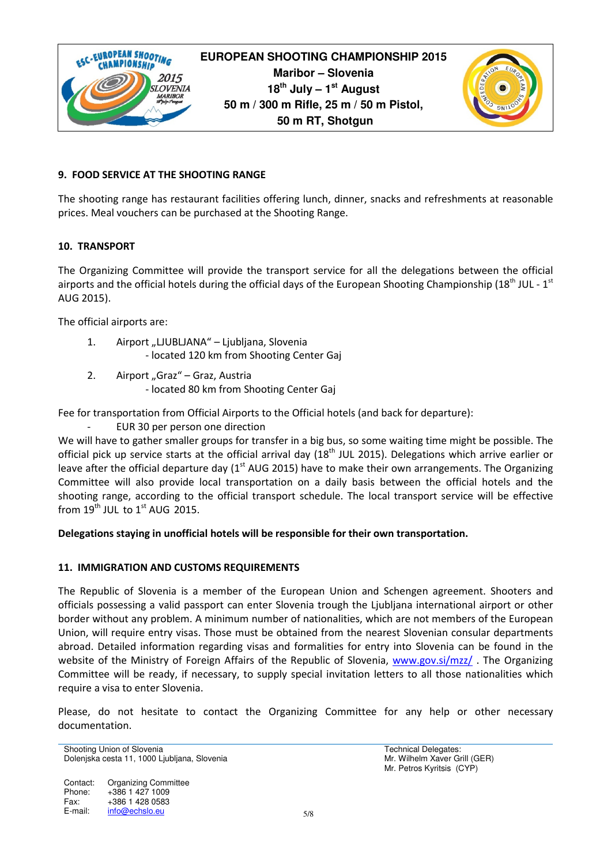

### 9. FOOD SERVICE AT THE SHOOTING RANGE

The shooting range has restaurant facilities offering lunch, dinner, snacks and refreshments at reasonable prices. Meal vouchers can be purchased at the Shooting Range.

### 10. TRANSPORT

The Organizing Committee will provide the transport service for all the delegations between the official airports and the official hotels during the official days of the European Shooting Championship (18<sup>th</sup> JUL - 1<sup>st</sup> AUG 2015).

The official airports are:

- 1. Airport "LJUBLJANA" Ljubljana, Slovenia - located 120 km from Shooting Center Gaj
- 2. Airport "Graz" Graz, Austria
	- located 80 km from Shooting Center Gaj

Fee for transportation from Official Airports to the Official hotels (and back for departure):

EUR 30 per person one direction

We will have to gather smaller groups for transfer in a big bus, so some waiting time might be possible. The official pick up service starts at the official arrival day  $(18<sup>th</sup>$  JUL 2015). Delegations which arrive earlier or leave after the official departure day (1<sup>st</sup> AUG 2015) have to make their own arrangements. The Organizing Committee will also provide local transportation on a daily basis between the official hotels and the shooting range, according to the official transport schedule. The local transport service will be effective from  $19^{th}$  JUL to  $1^{st}$  AUG 2015.

### Delegations staying in unofficial hotels will be responsible for their own transportation.

### 11. IMMIGRATION AND CUSTOMS REQUIREMENTS

The Republic of Slovenia is a member of the European Union and Schengen agreement. Shooters and officials possessing a valid passport can enter Slovenia trough the Ljubljana international airport or other border without any problem. A minimum number of nationalities, which are not members of the European Union, will require entry visas. Those must be obtained from the nearest Slovenian consular departments abroad. Detailed information regarding visas and formalities for entry into Slovenia can be found in the website of the Ministry of Foreign Affairs of the Republic of Slovenia, www.gov.si/mzz/ The Organizing Committee will be ready, if necessary, to supply special invitation letters to all those nationalities which require a visa to enter Slovenia.

Please, do not hesitate to contact the Organizing Committee for any help or other necessary documentation.

```
Shooting Union of Slovenia 
Dolenjska cesta 11, 1000 Ljubljana, Slovenia
```
Contact: Phone: Fax: E-mail: Organizing Committee +386 1 427 1009 +386 1 428 0583 info@echslo.eu 5/8 Technical Delegates: Mr. Wilhelm Xaver Grill (GER) Mr. Petros Kyritsis (CYP)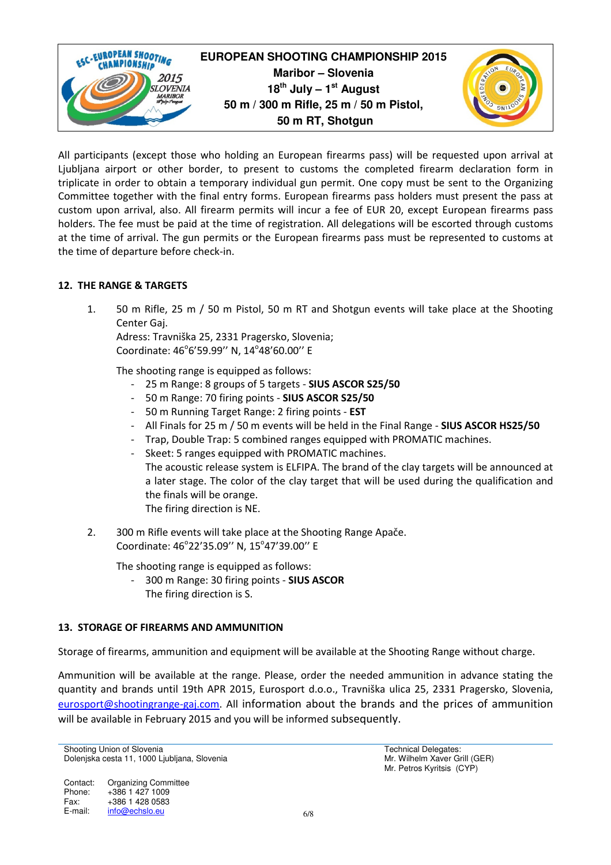

All participants (except those who holding an European firearms pass) will be requested upon arrival at Ljubljana airport or other border, to present to customs the completed firearm declaration form in triplicate in order to obtain a temporary individual gun permit. One copy must be sent to the Organizing Committee together with the final entry forms. European firearms pass holders must present the pass at custom upon arrival, also. All firearm permits will incur a fee of EUR 20, except European firearms pass holders. The fee must be paid at the time of registration. All delegations will be escorted through customs at the time of arrival. The gun permits or the European firearms pass must be represented to customs at the time of departure before check-in.

### 12. THE RANGE & TARGETS

1. 50 m Rifle, 25 m / 50 m Pistol, 50 m RT and Shotgun events will take place at the Shooting Center Gaj.

Adress: Travniška 25, 2331 Pragersko, Slovenia; Coordinate: 46°6'59.99" N, 14°48'60.00" E

The shooting range is equipped as follows:

- 25 m Range: 8 groups of 5 targets SIUS ASCOR S25/50
- 50 m Range: 70 firing points SIUS ASCOR S25/50
- 50 m Running Target Range: 2 firing points EST
- All Finals for 25 m / 50 m events will be held in the Final Range SIUS ASCOR HS25/50
- Trap, Double Trap: 5 combined ranges equipped with PROMATIC machines.
- Skeet: 5 ranges equipped with PROMATIC machines. The acoustic release system is ELFIPA. The brand of the clay targets will be announced at a later stage. The color of the clay target that will be used during the qualification and the finals will be orange. The firing direction is NE.
- 2. 300 m Rifle events will take place at the Shooting Range Apače. Coordinate: 46°22'35.09" N, 15°47'39.00" E

The shooting range is equipped as follows:

- 300 m Range: 30 firing points - SIUS ASCOR The firing direction is S.

### 13. STORAGE OF FIREARMS AND AMMUNITION

Storage of firearms, ammunition and equipment will be available at the Shooting Range without charge.

Ammunition will be available at the range. Please, order the needed ammunition in advance stating the quantity and brands until 19th APR 2015, Eurosport d.o.o., Travniška ulica 25, 2331 Pragersko, Slovenia, eurosport@shootingrange-gaj.com. All information about the brands and the prices of ammunition will be available in February 2015 and you will be informed subsequently.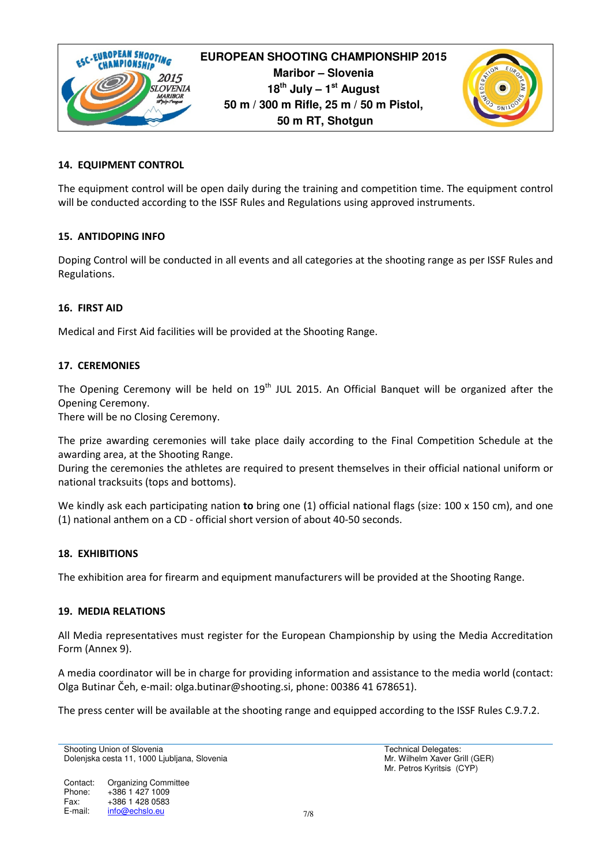

# **EUROPEAN SHOOTING CHAMPIONSHIP 2015 Maribor – Slovenia 18th July – 1st August 50 m / 300 m Rifle, 25 m / 50 m Pistol, 50 m RT, Shotgun**



### 14. EQUIPMENT CONTROL

The equipment control will be open daily during the training and competition time. The equipment control will be conducted according to the ISSF Rules and Regulations using approved instruments.

### 15. ANTIDOPING INFO

Doping Control will be conducted in all events and all categories at the shooting range as per ISSF Rules and Regulations.

### 16. FIRST AID

Medical and First Aid facilities will be provided at the Shooting Range.

### 17. CEREMONIES

The Opening Ceremony will be held on  $19<sup>th</sup>$  JUL 2015. An Official Banquet will be organized after the Opening Ceremony.

There will be no Closing Ceremony.

The prize awarding ceremonies will take place daily according to the Final Competition Schedule at the awarding area, at the Shooting Range.

During the ceremonies the athletes are required to present themselves in their official national uniform or national tracksuits (tops and bottoms).

We kindly ask each participating nation to bring one  $(1)$  official national flags (size: 100 x 150 cm), and one (1) national anthem on a CD - official short version of about 40-50 seconds.

### 18. EXHIBITIONS

The exhibition area for firearm and equipment manufacturers will be provided at the Shooting Range.

### 19. MEDIA RELATIONS

All Media representatives must register for the European Championship by using the Media Accreditation Form (Annex 9).

A media coordinator will be in charge for providing information and assistance to the media world (contact: Olga Butinar Čeh, e-mail: olga.butinar@shooting.si, phone: 00386 41 678651).

The press center will be available at the shooting range and equipped according to the ISSF Rules C.9.7.2.

Shooting Union of Slovenia Dolenjska cesta 11, 1000 Ljubljana, Slovenia

Contact: Phone: Fax: E-mail: Organizing Committee +386 1 427 1009 +386 1 428 0583 info@echslo.eu 7/8 Technical Delegates: Mr. Wilhelm Xaver Grill (GER) Mr. Petros Kyritsis (CYP)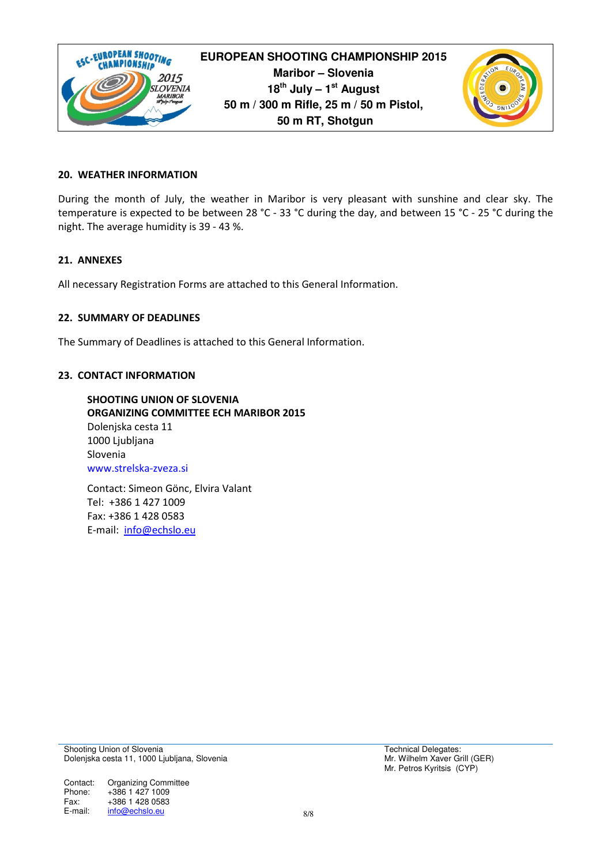

### 20. WEATHER INFORMATION

During the month of July, the weather in Maribor is very pleasant with sunshine and clear sky. The temperature is expected to be between 28 °C - 33 °C during the day, and between 15 °C - 25 °C during the night. The average humidity is 39 - 43 %.

### 21. ANNEXES

All necessary Registration Forms are attached to this General Information.

#### 22. SUMMARY OF DEADLINES

The Summary of Deadlines is attached to this General Information.

#### 23. CONTACT INFORMATION

SHOOTING UNION OF SLOVENIA ORGANIZING COMMITTEE ECH MARIBOR 2015 Dolenjska cesta 11 1000 Ljubljana Slovenia www.strelska-zveza.si

Contact: Simeon Gönc, Elvira Valant Tel: +386 1 427 1009 Fax: +386 1 428 0583 E-mail: info@echslo.eu

Shooting Union of Slovenia Dolenjska cesta 11, 1000 Ljubljana, Slovenia

Contact: Phone: Fax: E-mail: Organizing Committee +386 1 427 1009 +386 1 428 0583 info@echslo.eu 8/8 Technical Delegates: Mr. Wilhelm Xaver Grill (GER) Mr. Petros Kyritsis (CYP)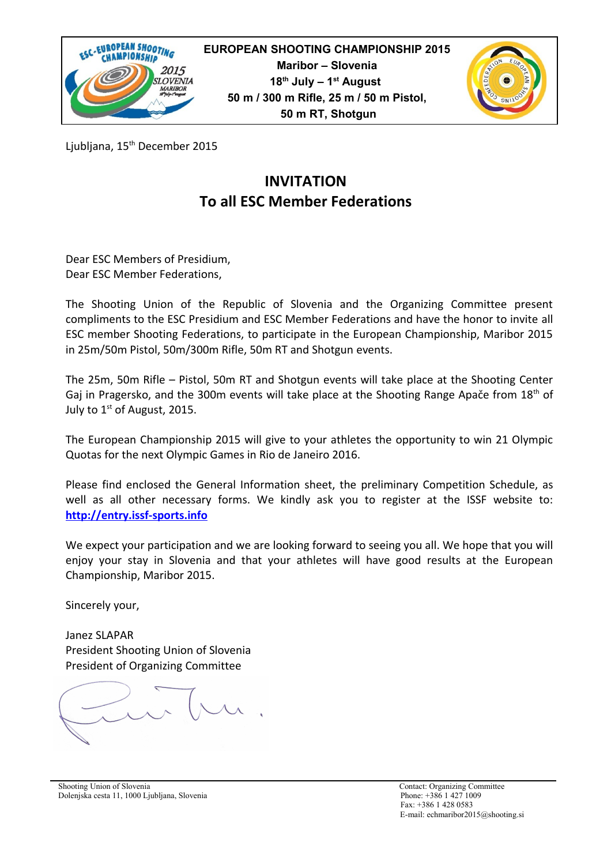



Ljubljana, 15<sup>th</sup> December 2015

# **INVITATION To all ESC Member Federations**

Dear ESC Members of Presidium, Dear ESC Member Federations,

The Shooting Union of the Republic of Slovenia and the Organizing Committee present compliments to the ESC Presidium and ESC Member Federations and have the honor to invite all ESC member Shooting Federations, to participate in the European Championship, Maribor 2015 in 25m/50m Pistol, 50m/300m Rifle, 50m RT and Shotgun events.

The 25m, 50m Rifle – Pistol, 50m RT and Shotgun events will take place at the Shooting Center Gaj in Pragersko, and the 300m events will take place at the Shooting Range Apače from 18<sup>th</sup> of July to  $1<sup>st</sup>$  of August, 2015.

The European Championship 2015 will give to your athletes the opportunity to win 21 Olympic Quotas for the next Olympic Games in Rio de Janeiro 2016.

Please find enclosed the General Information sheet, the preliminary Competition Schedule, as well as all other necessary forms. We kindly ask you to register at the ISSF website to: **[http://entry.issf-sports.info](http://entry.issf-sports.info/)**

We expect your participation and we are looking forward to seeing you all. We hope that you will enjoy your stay in Slovenia and that your athletes will have good results at the European Championship, Maribor 2015.

Sincerely your,

Janez SLAPAR President Shooting Union of Slovenia President of Organizing Committee

 $\sim$ 

Shooting Union of Slovenia<br>
Shooting Union of Slovenia<br>
Dolenjska cesta 11, 1000 Ljubljana, Slovenia<br>
2009 - Phone: +386 1 427 1009 Dolenjska cesta 11, 1000 Ljubljana, Slovenia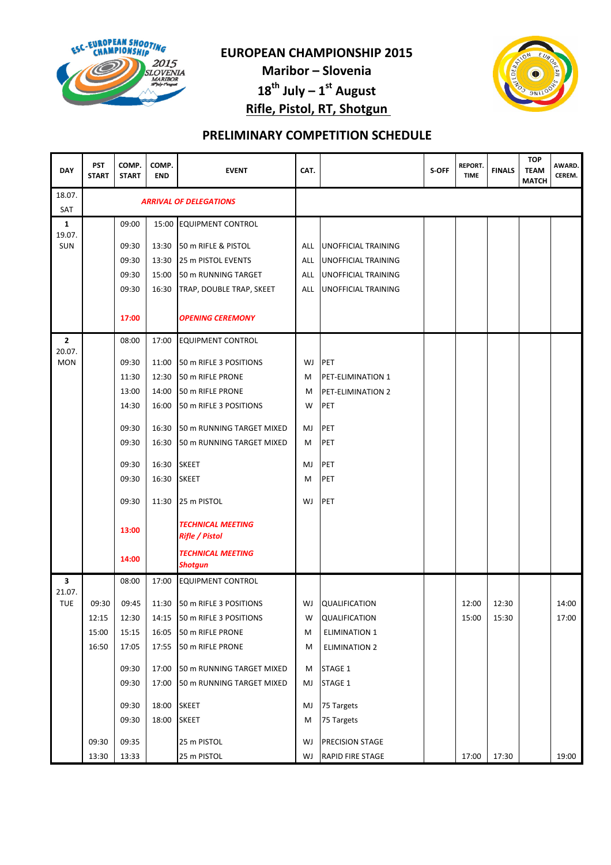

Maribor – Slovenia  $18^{th}$  July –  $1^{st}$  August Rifle, Pistol, RT, Shotgun



| <b>DAY</b>           | <b>PST</b><br><b>START</b> | COMP.<br><b>START</b> | COMP.<br><b>END</b> | <b>EVENT</b>                                      | CAT. |                            | S-OFF | <b>REPORT.</b><br><b>TIME</b> | <b>FINALS</b> | <b>TOP</b><br><b>TEAM</b><br><b>MATCH</b> | AWARD.<br>CEREM. |
|----------------------|----------------------------|-----------------------|---------------------|---------------------------------------------------|------|----------------------------|-------|-------------------------------|---------------|-------------------------------------------|------------------|
| 18.07.<br>SAT        |                            |                       |                     | <b>ARRIVAL OF DELEGATIONS</b>                     |      |                            |       |                               |               |                                           |                  |
| 1                    |                            | 09:00                 |                     | 15:00 EQUIPMENT CONTROL                           |      |                            |       |                               |               |                                           |                  |
| 19.07.<br><b>SUN</b> |                            | 09:30                 | 13:30               | 50 m RIFLE & PISTOL                               | ALL  | <b>UNOFFICIAL TRAINING</b> |       |                               |               |                                           |                  |
|                      |                            | 09:30                 | 13:30               | 25 m PISTOL EVENTS                                | ALL  | <b>UNOFFICIAL TRAINING</b> |       |                               |               |                                           |                  |
|                      |                            | 09:30                 | 15:00               | 50 m RUNNING TARGET                               | ALL  | <b>UNOFFICIAL TRAINING</b> |       |                               |               |                                           |                  |
|                      |                            | 09:30                 | 16:30               | TRAP, DOUBLE TRAP, SKEET                          | ALL  | <b>UNOFFICIAL TRAINING</b> |       |                               |               |                                           |                  |
|                      |                            | 17:00                 |                     | <b>OPENING CEREMONY</b>                           |      |                            |       |                               |               |                                           |                  |
| 2                    |                            | 08:00                 | 17:00               | <b>EQUIPMENT CONTROL</b>                          |      |                            |       |                               |               |                                           |                  |
| 20.07.<br><b>MON</b> |                            | 09:30                 | 11:00               | 50 m RIFLE 3 POSITIONS                            | WJ   | PET                        |       |                               |               |                                           |                  |
|                      |                            | 11:30                 | 12:30               | 50 m RIFLE PRONE                                  | М    | PET-ELIMINATION 1          |       |                               |               |                                           |                  |
|                      |                            | 13:00                 | 14:00               | 50 m RIFLE PRONE                                  | M    | PET-ELIMINATION 2          |       |                               |               |                                           |                  |
|                      |                            | 14:30                 | 16:00               | 50 m RIFLE 3 POSITIONS                            | W    | PET                        |       |                               |               |                                           |                  |
|                      |                            |                       |                     |                                                   |      |                            |       |                               |               |                                           |                  |
|                      |                            | 09:30                 | 16:30               | 50 m RUNNING TARGET MIXED                         | MJ   | PET                        |       |                               |               |                                           |                  |
|                      |                            | 09:30                 | 16:30               | 50 m RUNNING TARGET MIXED                         | M    | PET                        |       |                               |               |                                           |                  |
|                      |                            | 09:30                 | 16:30               | <b>SKEET</b>                                      | MJ   | PET                        |       |                               |               |                                           |                  |
|                      |                            | 09:30                 | 16:30               | <b>SKEET</b>                                      | М    | <b>PET</b>                 |       |                               |               |                                           |                  |
|                      |                            | 09:30                 | 11:30               | 25 m PISTOL                                       | WJ   | PET                        |       |                               |               |                                           |                  |
|                      |                            | 13:00                 |                     | <b>TECHNICAL MEETING</b><br><b>Rifle / Pistol</b> |      |                            |       |                               |               |                                           |                  |
|                      |                            | 14:00                 |                     | <b>TECHNICAL MEETING</b><br><b>Shotgun</b>        |      |                            |       |                               |               |                                           |                  |
| 3                    |                            | 08:00                 | 17:00               | <b>EQUIPMENT CONTROL</b>                          |      |                            |       |                               |               |                                           |                  |
| 21.07.<br><b>TUE</b> | 09:30                      | 09:45                 | 11:30               | 50 m RIFLE 3 POSITIONS                            | WJ   | <b>QUALIFICATION</b>       |       | 12:00                         | 12:30         |                                           | 14:00            |
|                      | 12:15                      | 12:30                 | 14:15               | 50 m RIFLE 3 POSITIONS                            | W    | <b>QUALIFICATION</b>       |       | 15:00                         | 15:30         |                                           | 17:00            |
|                      | 15:00                      | 15:15                 | 16:05               | 50 m RIFLE PRONE                                  | M    | <b>ELIMINATION 1</b>       |       |                               |               |                                           |                  |
|                      | 16:50                      | 17:05                 | 17:55               | 50 m RIFLE PRONE                                  | M    | <b>ELIMINATION 2</b>       |       |                               |               |                                           |                  |
|                      |                            |                       |                     |                                                   |      |                            |       |                               |               |                                           |                  |
|                      |                            | 09:30                 | 17:00               | 50 m RUNNING TARGET MIXED                         | м    | STAGE 1                    |       |                               |               |                                           |                  |
|                      |                            | 09:30                 | 17:00               | 50 m RUNNING TARGET MIXED                         | MJ   | STAGE 1                    |       |                               |               |                                           |                  |
|                      |                            | 09:30                 | 18:00               | <b>SKEET</b>                                      | MJ   | 75 Targets                 |       |                               |               |                                           |                  |
|                      |                            | 09:30                 | 18:00               | <b>SKEET</b>                                      | M    | 75 Targets                 |       |                               |               |                                           |                  |
|                      | 09:30                      | 09:35                 |                     | 25 m PISTOL                                       | WJ   | <b>PRECISION STAGE</b>     |       |                               |               |                                           |                  |
|                      | 13:30                      | 13:33                 |                     | 25 m PISTOL                                       | WJ   | <b>RAPID FIRE STAGE</b>    |       | 17:00                         | 17:30         |                                           | 19:00            |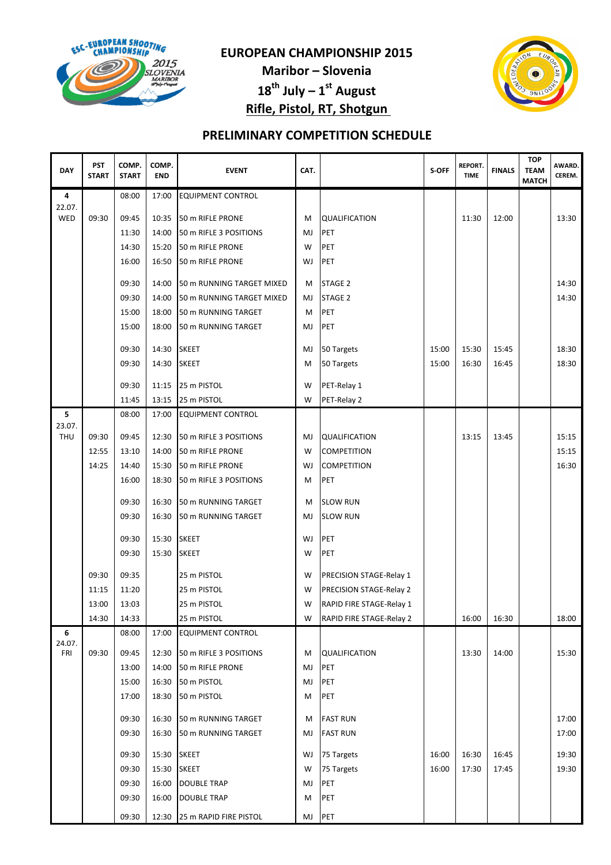

Maribor – Slovenia  $18^{th}$  July –  $1^{st}$  August Rifle, Pistol, RT, Shotgun



| <b>DAY</b>    | <b>PST</b><br><b>START</b> | COMP.<br><b>START</b> | COMP.<br><b>END</b> | <b>EVENT</b>              | CAT. |                                | S-OFF | <b>REPORT.</b><br><b>TIME</b> | <b>FINALS</b> | <b>TOP</b><br><b>TEAM</b><br><b>MATCH</b> | AWARD.<br>CEREM. |
|---------------|----------------------------|-----------------------|---------------------|---------------------------|------|--------------------------------|-------|-------------------------------|---------------|-------------------------------------------|------------------|
| 4             |                            | 08:00                 | 17:00               | <b>EQUIPMENT CONTROL</b>  |      |                                |       |                               |               |                                           |                  |
| 22.07.<br>WED | 09:30                      | 09:45                 | 10:35               | 50 m RIFLE PRONE          | М    | <b>QUALIFICATION</b>           |       | 11:30                         | 12:00         |                                           | 13:30            |
|               |                            | 11:30                 | 14:00               | 50 m RIFLE 3 POSITIONS    | MJ   | <b>PET</b>                     |       |                               |               |                                           |                  |
|               |                            | 14:30                 | 15:20               | 50 m RIFLE PRONE          | W    | PET                            |       |                               |               |                                           |                  |
|               |                            | 16:00                 | 16:50               | 50 m RIFLE PRONE          | WJ   | PET                            |       |                               |               |                                           |                  |
|               |                            | 09:30                 | 14:00               | 50 m RUNNING TARGET MIXED | M    | STAGE 2                        |       |                               |               |                                           | 14:30            |
|               |                            | 09:30                 | 14:00               | 50 m RUNNING TARGET MIXED | MJ   | STAGE <sub>2</sub>             |       |                               |               |                                           | 14:30            |
|               |                            | 15:00                 | 18:00               | 50 m RUNNING TARGET       | M    | PET                            |       |                               |               |                                           |                  |
|               |                            | 15:00                 | 18:00               | 50 m RUNNING TARGET       | MJ   | PET                            |       |                               |               |                                           |                  |
|               |                            | 09:30                 | 14:30               | <b>SKEET</b>              | MJ   | 50 Targets                     | 15:00 | 15:30                         | 15:45         |                                           | 18:30            |
|               |                            | 09:30                 | 14:30               | <b>SKEET</b>              | М    | 50 Targets                     | 15:00 | 16:30                         | 16:45         |                                           | 18:30            |
|               |                            | 09:30                 | 11:15               | 25 m PISTOL               | W    | PET-Relay 1                    |       |                               |               |                                           |                  |
|               |                            | 11:45                 | 13:15               | 25 m PISTOL               | W    | PET-Relay 2                    |       |                               |               |                                           |                  |
| 5             |                            | 08:00                 | 17:00               | <b>EQUIPMENT CONTROL</b>  |      |                                |       |                               |               |                                           |                  |
| 23.07.        |                            |                       |                     |                           |      |                                |       |                               |               |                                           |                  |
| THU           | 09:30                      | 09:45                 | 12:30               | 50 m RIFLE 3 POSITIONS    | MJ   | <b>QUALIFICATION</b>           |       | 13:15                         | 13:45         |                                           | 15:15            |
|               | 12:55                      | 13:10                 | 14:00               | 50 m RIFLE PRONE          | W    | <b>COMPETITION</b>             |       |                               |               |                                           | 15:15            |
|               | 14:25                      | 14:40                 | 15:30               | 50 m RIFLE PRONE          | WJ   | <b>COMPETITION</b>             |       |                               |               |                                           | 16:30            |
|               |                            | 16:00                 | 18:30               | 50 m RIFLE 3 POSITIONS    | M    | PET                            |       |                               |               |                                           |                  |
|               |                            | 09:30                 | 16:30               | 50 m RUNNING TARGET       | M    | <b>SLOW RUN</b>                |       |                               |               |                                           |                  |
|               |                            | 09:30                 | 16:30               | 50 m RUNNING TARGET       | MJ   | <b>SLOW RUN</b>                |       |                               |               |                                           |                  |
|               |                            | 09:30                 | 15:30               | <b>SKEET</b>              | WJ   | PET                            |       |                               |               |                                           |                  |
|               |                            | 09:30                 | 15:30               | <b>SKEET</b>              | W    | PET                            |       |                               |               |                                           |                  |
|               | 09:30                      | 09:35                 |                     | 25 m PISTOL               | W    | PRECISION STAGE-Relay 1        |       |                               |               |                                           |                  |
|               | 11:15                      | 11:20                 |                     | 25 m PISTOL               | W    | <b>PRECISION STAGE-Relay 2</b> |       |                               |               |                                           |                  |
|               | 13:00                      | 13:03                 |                     | 25 m PISTOL               | W    | RAPID FIRE STAGE-Relay 1       |       |                               |               |                                           |                  |
|               | 14:30                      | 14:33                 |                     | 25 m PISTOL               | W    | RAPID FIRE STAGE-Relay 2       |       | 16:00                         | 16:30         |                                           | 18:00            |
| 6             |                            | 08:00                 | 17:00               | <b>EQUIPMENT CONTROL</b>  |      |                                |       |                               |               |                                           |                  |
| 24.07.<br>FRI | 09:30                      | 09:45                 | 12:30               | 50 m RIFLE 3 POSITIONS    | М    | <b>QUALIFICATION</b>           |       | 13:30                         | 14:00         |                                           | 15:30            |
|               |                            | 13:00                 | 14:00               | 50 m RIFLE PRONE          | MJ   | <b>PET</b>                     |       |                               |               |                                           |                  |
|               |                            | 15:00                 | 16:30               | 50 m PISTOL               | MJ   | PET                            |       |                               |               |                                           |                  |
|               |                            | 17:00                 | 18:30               | 50 m PISTOL               | М    | PET                            |       |                               |               |                                           |                  |
|               |                            |                       |                     |                           |      |                                |       |                               |               |                                           |                  |
|               |                            | 09:30                 | 16:30               | 50 m RUNNING TARGET       | м    | <b>FAST RUN</b>                |       |                               |               |                                           | 17:00            |
|               |                            | 09:30                 | 16:30               | 50 m RUNNING TARGET       | MJ   | <b>FAST RUN</b>                |       |                               |               |                                           | 17:00            |
|               |                            | 09:30                 | 15:30               | <b>SKEET</b>              | WJ   | 75 Targets                     | 16:00 | 16:30                         | 16:45         |                                           | 19:30            |
|               |                            | 09:30                 | 15:30               | <b>SKEET</b>              | W    | 75 Targets                     | 16:00 | 17:30                         | 17:45         |                                           | 19:30            |
|               |                            | 09:30                 | 16:00               | <b>DOUBLE TRAP</b>        | MJ   | PET                            |       |                               |               |                                           |                  |
|               |                            | 09:30                 | 16:00               | <b>DOUBLE TRAP</b>        | М    | PET                            |       |                               |               |                                           |                  |
|               |                            | 09:30                 | 12:30               | 25 m RAPID FIRE PISTOL    | MJ   | PET                            |       |                               |               |                                           |                  |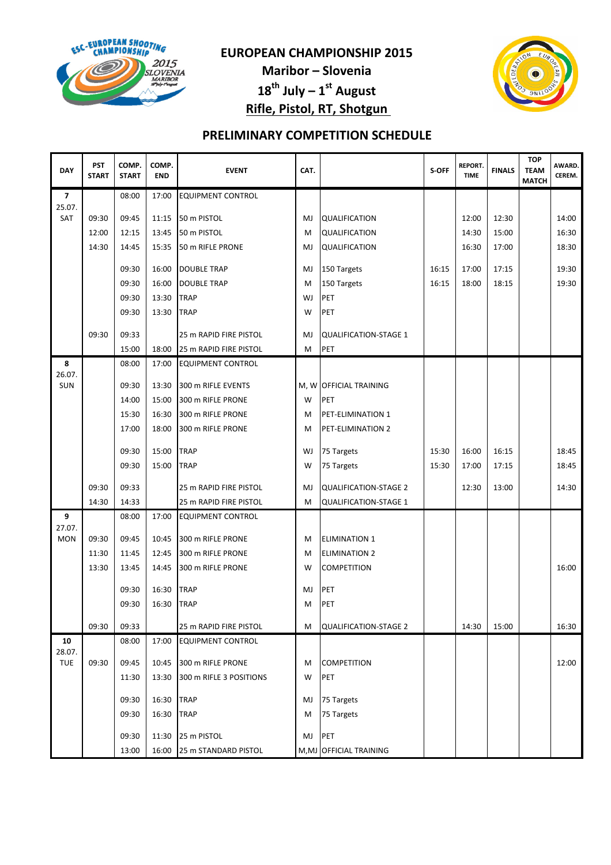

Maribor – Slovenia  $18^{th}$  July –  $1^{st}$  August Rifle, Pistol, RT, Shotgun



| <b>DAY</b>     | <b>PST</b><br><b>START</b> | COMP.<br><b>START</b> | COMP.<br><b>END</b> | <b>EVENT</b>                           | CAT. |                                        | S-OFF | <b>REPORT.</b><br><b>TIME</b> | <b>FINALS</b> | <b>TOP</b><br><b>TEAM</b><br><b>MATCH</b> | AWARD.<br>CEREM. |
|----------------|----------------------------|-----------------------|---------------------|----------------------------------------|------|----------------------------------------|-------|-------------------------------|---------------|-------------------------------------------|------------------|
| $\overline{7}$ |                            | 08:00                 | 17:00               | <b>EQUIPMENT CONTROL</b>               |      |                                        |       |                               |               |                                           |                  |
| 25.07.<br>SAT  | 09:30                      | 09:45                 | 11:15               | 50 m PISTOL                            | MJ   | <b>QUALIFICATION</b>                   |       | 12:00                         | 12:30         |                                           | 14:00            |
|                | 12:00                      | 12:15                 | 13:45               | 50 m PISTOL                            | M    | <b>QUALIFICATION</b>                   |       | 14:30                         | 15:00         |                                           | 16:30            |
|                | 14:30                      | 14:45                 | 15:35               | 50 m RIFLE PRONE                       | MJ   | <b>QUALIFICATION</b>                   |       | 16:30                         | 17:00         |                                           | 18:30            |
|                |                            | 09:30                 | 16:00               | <b>DOUBLE TRAP</b>                     | MJ   | 150 Targets                            | 16:15 | 17:00                         | 17:15         |                                           | 19:30            |
|                |                            | 09:30                 | 16:00               | <b>DOUBLE TRAP</b>                     | M    | 150 Targets                            | 16:15 | 18:00                         | 18:15         |                                           | 19:30            |
|                |                            | 09:30                 | 13:30               | <b>TRAP</b>                            | WJ   | <b>PET</b>                             |       |                               |               |                                           |                  |
|                |                            | 09:30                 | 13:30               | <b>TRAP</b>                            | W    | PET                                    |       |                               |               |                                           |                  |
|                | 09:30                      | 09:33                 |                     | 25 m RAPID FIRE PISTOL                 | MJ   | <b>QUALIFICATION-STAGE 1</b>           |       |                               |               |                                           |                  |
|                |                            | 15:00                 | 18:00               | 25 m RAPID FIRE PISTOL                 | M    | PET                                    |       |                               |               |                                           |                  |
| 8              |                            | 08:00                 | 17:00               | <b>EQUIPMENT CONTROL</b>               |      |                                        |       |                               |               |                                           |                  |
| 26.07.         |                            |                       |                     |                                        |      |                                        |       |                               |               |                                           |                  |
| SUN            |                            | 09:30                 | 13:30               | 300 m RIFLE EVENTS                     |      | M, W OFFICIAL TRAINING                 |       |                               |               |                                           |                  |
|                |                            | 14:00                 | 15:00               | 300 m RIFLE PRONE<br>300 m RIFLE PRONE | W    | <b>PET</b>                             |       |                               |               |                                           |                  |
|                |                            | 15:30<br>17:00        | 16:30<br>18:00      | 300 m RIFLE PRONE                      | М    | PET-ELIMINATION 1<br>PET-ELIMINATION 2 |       |                               |               |                                           |                  |
|                |                            |                       |                     |                                        | M    |                                        |       |                               |               |                                           |                  |
|                |                            | 09:30                 | 15:00               | <b>TRAP</b>                            | WJ   | 75 Targets                             | 15:30 | 16:00                         | 16:15         |                                           | 18:45            |
|                |                            | 09:30                 | 15:00               | <b>TRAP</b>                            | W    | 75 Targets                             | 15:30 | 17:00                         | 17:15         |                                           | 18:45            |
|                | 09:30                      | 09:33                 |                     | 25 m RAPID FIRE PISTOL                 | MJ   | <b>QUALIFICATION-STAGE 2</b>           |       | 12:30                         | 13:00         |                                           | 14:30            |
|                | 14:30                      | 14:33                 |                     | 25 m RAPID FIRE PISTOL                 | M    | <b>QUALIFICATION-STAGE 1</b>           |       |                               |               |                                           |                  |
| 9<br>27.07.    |                            | 08:00                 | 17:00               | <b>EQUIPMENT CONTROL</b>               |      |                                        |       |                               |               |                                           |                  |
| <b>MON</b>     | 09:30                      | 09:45                 | 10:45               | 300 m RIFLE PRONE                      | М    | <b>ELIMINATION 1</b>                   |       |                               |               |                                           |                  |
|                | 11:30                      | 11:45                 | 12:45               | 300 m RIFLE PRONE                      | м    | <b>ELIMINATION 2</b>                   |       |                               |               |                                           |                  |
|                | 13:30                      | 13:45                 | 14:45               | 300 m RIFLE PRONE                      | W    | <b>COMPETITION</b>                     |       |                               |               |                                           | 16:00            |
|                |                            | 09:30                 | 16:30               | <b>TRAP</b>                            | MJ   | PET                                    |       |                               |               |                                           |                  |
|                |                            | 09:30                 | 16:30               | <b>TRAP</b>                            | M    | PET                                    |       |                               |               |                                           |                  |
|                | 09:30                      | 09:33                 |                     | 25 m RAPID FIRE PISTOL                 | M    | QUALIFICATION-STAGE 2                  |       | 14:30                         | 15:00         |                                           | 16:30            |
| 10             |                            | 08:00                 | 17:00               | <b>EQUIPMENT CONTROL</b>               |      |                                        |       |                               |               |                                           |                  |
| 28.07.         |                            |                       |                     |                                        |      |                                        |       |                               |               |                                           |                  |
| <b>TUE</b>     | 09:30                      | 09:45                 | 10:45               | 300 m RIFLE PRONE                      | М    | <b>COMPETITION</b>                     |       |                               |               |                                           | 12:00            |
|                |                            | 11:30                 | 13:30               | 300 m RIFLE 3 POSITIONS                | W    | PET                                    |       |                               |               |                                           |                  |
|                |                            | 09:30                 | 16:30               | <b>TRAP</b>                            | MJ   | 75 Targets                             |       |                               |               |                                           |                  |
|                |                            | 09:30                 | 16:30               | <b>TRAP</b>                            | М    | 75 Targets                             |       |                               |               |                                           |                  |
|                |                            | 09:30                 | 11:30               | 25 m PISTOL                            | MJ   | PET                                    |       |                               |               |                                           |                  |
|                |                            | 13:00                 | 16:00               | 25 m STANDARD PISTOL                   |      | M, MJ OFFICIAL TRAINING                |       |                               |               |                                           |                  |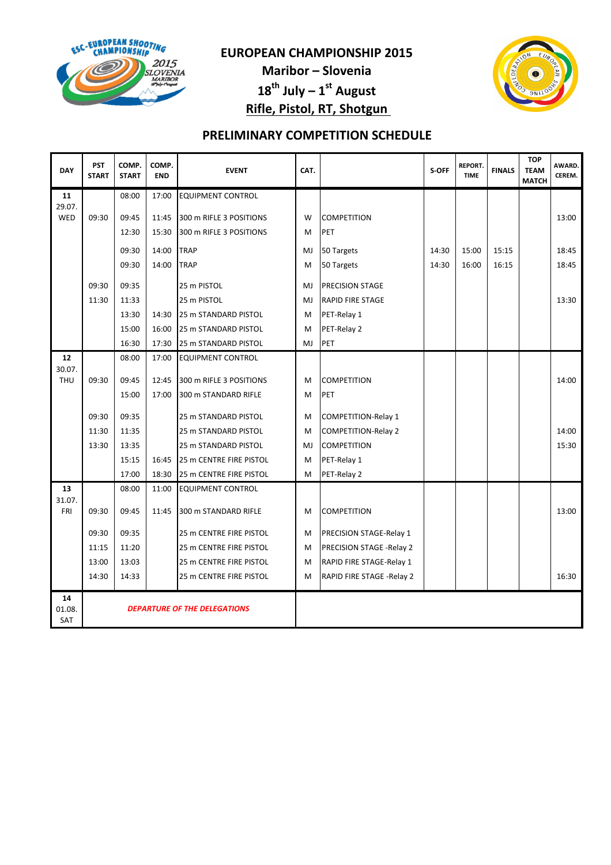

Maribor – Slovenia  $18^{th}$  July –  $1^{st}$  August Rifle, Pistol, RT, Shotgun



| <b>DAY</b>                 | <b>PST</b><br><b>START</b>          | COMP.<br><b>START</b> | COMP.<br><b>END</b> | <b>EVENT</b>             | CAT.           |                            | S-OFF | <b>REPORT.</b><br><b>TIME</b> | <b>FINALS</b> | <b>TOP</b><br><b>TEAM</b><br><b>MATCH</b> | AWARD.<br>CEREM. |
|----------------------------|-------------------------------------|-----------------------|---------------------|--------------------------|----------------|----------------------------|-------|-------------------------------|---------------|-------------------------------------------|------------------|
| 11                         |                                     | 08:00                 | 17:00               | <b>EQUIPMENT CONTROL</b> |                |                            |       |                               |               |                                           |                  |
| 29.07.<br>WED              | 09:30                               | 09:45                 | 11:45               | 300 m RIFLE 3 POSITIONS  | W              | <b>COMPETITION</b>         |       |                               |               |                                           | 13:00            |
|                            |                                     | 12:30                 | 15:30               | 300 m RIFLE 3 POSITIONS  | M              | <b>PET</b>                 |       |                               |               |                                           |                  |
|                            |                                     | 09:30                 | 14:00               | <b>TRAP</b>              | MJ             | 50 Targets                 | 14:30 | 15:00                         | 15:15         |                                           | 18:45            |
|                            |                                     | 09:30                 | 14:00               | <b>TRAP</b>              | M              | 50 Targets                 | 14:30 | 16:00                         | 16:15         |                                           | 18:45            |
|                            |                                     |                       |                     |                          |                |                            |       |                               |               |                                           |                  |
|                            | 09:30                               | 09:35                 |                     | 25 m PISTOL              | M.             | <b>PRECISION STAGE</b>     |       |                               |               |                                           |                  |
|                            | 11:30                               | 11:33                 |                     | 25 m PISTOL              | M <sub>J</sub> | <b>RAPID FIRE STAGE</b>    |       |                               |               |                                           | 13:30            |
|                            |                                     | 13:30                 | 14:30               | 25 m STANDARD PISTOL     | M              | PET-Relay 1                |       |                               |               |                                           |                  |
|                            |                                     | 15:00                 | 16:00               | 25 m STANDARD PISTOL     | M              | PET-Relay 2                |       |                               |               |                                           |                  |
|                            |                                     | 16:30                 | 17:30               | 25 m STANDARD PISTOL     | MJ             | PET                        |       |                               |               |                                           |                  |
| 12                         |                                     | 08:00                 | 17:00               | <b>EQUIPMENT CONTROL</b> |                |                            |       |                               |               |                                           |                  |
| 30.07.<br><b>THU</b>       | 09:30                               | 09:45                 | 12:45               | 300 m RIFLE 3 POSITIONS  | M              | <b>COMPETITION</b>         |       |                               |               |                                           | 14:00            |
|                            |                                     | 15:00                 | 17:00               | 300 m STANDARD RIFLE     | M              | PET                        |       |                               |               |                                           |                  |
|                            |                                     |                       |                     |                          |                |                            |       |                               |               |                                           |                  |
|                            | 09:30                               | 09:35                 |                     | 25 m STANDARD PISTOL     | M              | <b>COMPETITION-Relay 1</b> |       |                               |               |                                           |                  |
|                            | 11:30                               | 11:35                 |                     | 25 m STANDARD PISTOL     | M              | <b>COMPETITION-Relay 2</b> |       |                               |               |                                           | 14:00            |
|                            | 13:30                               | 13:35                 |                     | 25 m STANDARD PISTOL     | MJ             | <b>COMPETITION</b>         |       |                               |               |                                           | 15:30            |
|                            |                                     | 15:15                 | 16:45               | 25 m CENTRE FIRE PISTOL  | M              | PET-Relay 1                |       |                               |               |                                           |                  |
|                            |                                     | 17:00                 | 18:30               | 25 m CENTRE FIRE PISTOL  | M              | PET-Relay 2                |       |                               |               |                                           |                  |
| 13<br>31.07.               |                                     | 08:00                 | 11:00               | <b>EQUIPMENT CONTROL</b> |                |                            |       |                               |               |                                           |                  |
| FRI                        | 09:30                               | 09:45                 | 11:45               | 300 m STANDARD RIFLE     | M              | <b>COMPETITION</b>         |       |                               |               |                                           | 13:00            |
|                            |                                     |                       |                     |                          |                |                            |       |                               |               |                                           |                  |
|                            | 09:30                               | 09:35                 |                     | 25 m CENTRE FIRE PISTOL  | M              | PRECISION STAGE-Relay 1    |       |                               |               |                                           |                  |
|                            | 11:15                               | 11:20                 |                     | 25 m CENTRE FIRE PISTOL  | M              | PRECISION STAGE -Relay 2   |       |                               |               |                                           |                  |
|                            | 13:00                               | 13:03                 |                     | 25 m CENTRE FIRE PISTOL  | M              | RAPID FIRE STAGE-Relay 1   |       |                               |               |                                           |                  |
|                            | 14:30                               | 14:33                 |                     | 25 m CENTRE FIRE PISTOL  | M              | RAPID FIRE STAGE - Relay 2 |       |                               |               |                                           | 16:30            |
| 14<br>01.08.<br><b>SAT</b> | <b>DEPARTURE OF THE DELEGATIONS</b> |                       |                     |                          |                |                            |       |                               |               |                                           |                  |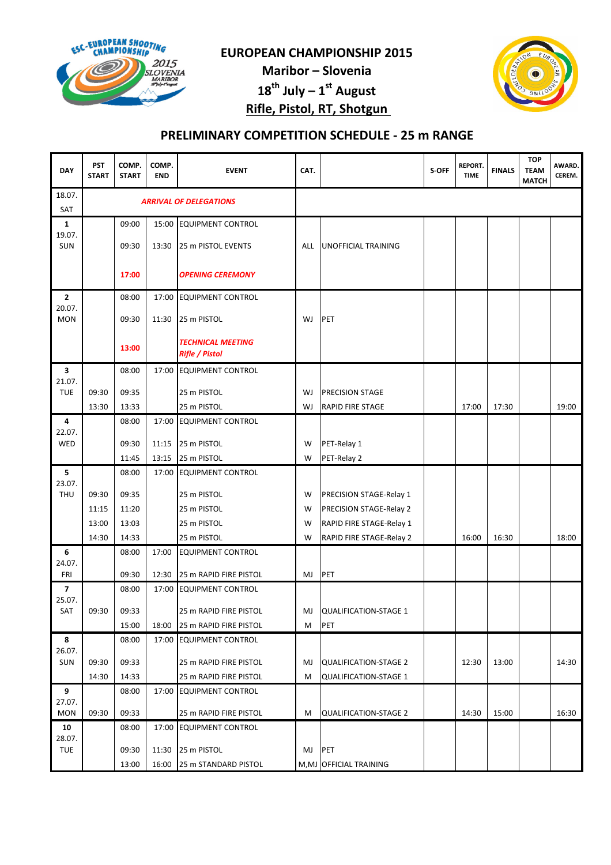

Maribor – Slovenia

 $18^{th}$  July –  $1^{st}$  August

Rifle, Pistol, RT, Shotgun



# PRELIMINARY COMPETITION SCHEDULE - 25 m RANGE

| <b>DAY</b>           | <b>PST</b><br><b>START</b> | COMP.<br><b>START</b> | COMP.<br><b>END</b> | <b>EVENT</b>                                      | CAT.    |                                                              | S-OFF | <b>REPORT.</b><br><b>TIME</b> | <b>FINALS</b> | <b>TOP</b><br><b>TEAM</b><br><b>MATCH</b> | AWARD.<br>CEREM. |
|----------------------|----------------------------|-----------------------|---------------------|---------------------------------------------------|---------|--------------------------------------------------------------|-------|-------------------------------|---------------|-------------------------------------------|------------------|
| 18.07.<br><b>SAT</b> |                            |                       |                     | <b>ARRIVAL OF DELEGATIONS</b>                     |         |                                                              |       |                               |               |                                           |                  |
| 1                    |                            | 09:00                 |                     | 15:00 EQUIPMENT CONTROL                           |         |                                                              |       |                               |               |                                           |                  |
| 19.07.<br>SUN        |                            | 09:30                 | 13:30               | 25 m PISTOL EVENTS                                | ALL     | UNOFFICIAL TRAINING                                          |       |                               |               |                                           |                  |
|                      |                            | 17:00                 |                     | <b>OPENING CEREMONY</b>                           |         |                                                              |       |                               |               |                                           |                  |
| 2                    |                            | 08:00                 |                     | 17:00 EQUIPMENT CONTROL                           |         |                                                              |       |                               |               |                                           |                  |
| 20.07.<br><b>MON</b> |                            | 09:30                 | 11:30               | 25 m PISTOL                                       | WJ      | PET                                                          |       |                               |               |                                           |                  |
|                      |                            | 13:00                 |                     | <b>TECHNICAL MEETING</b><br><b>Rifle / Pistol</b> |         |                                                              |       |                               |               |                                           |                  |
| 3                    |                            | 08:00                 |                     | 17:00 EQUIPMENT CONTROL                           |         |                                                              |       |                               |               |                                           |                  |
| 21.07.<br><b>TUE</b> | 09:30                      | 09:35                 |                     | 25 m PISTOL                                       | WJ      | PRECISION STAGE                                              |       |                               |               |                                           |                  |
|                      | 13:30                      | 13:33                 |                     | 25 m PISTOL                                       | WJ      | <b>RAPID FIRE STAGE</b>                                      |       | 17:00                         | 17:30         |                                           | 19:00            |
| 4                    |                            | 08:00                 | 17:00               | <b>EQUIPMENT CONTROL</b>                          |         |                                                              |       |                               |               |                                           |                  |
| 22.07.               |                            | 09:30                 |                     | 25 m PISTOL                                       |         |                                                              |       |                               |               |                                           |                  |
| WED                  |                            | 11:45                 | 11:15<br>13:15      | 25 m PISTOL                                       | W<br>W  | PET-Relay 1<br>PET-Relay 2                                   |       |                               |               |                                           |                  |
| 5                    |                            | 08:00                 | 17:00               | <b>EQUIPMENT CONTROL</b>                          |         |                                                              |       |                               |               |                                           |                  |
| 23.07.               |                            |                       |                     |                                                   |         |                                                              |       |                               |               |                                           |                  |
| <b>THU</b>           | 09:30                      | 09:35                 |                     | 25 m PISTOL                                       | W       | PRECISION STAGE-Relay 1                                      |       |                               |               |                                           |                  |
|                      | 11:15                      | 11:20                 |                     | 25 m PISTOL                                       | W       | PRECISION STAGE-Relay 2                                      |       |                               |               |                                           |                  |
|                      | 13:00                      | 13:03                 |                     | 25 m PISTOL                                       | W       | RAPID FIRE STAGE-Relay 1                                     |       |                               |               |                                           |                  |
| 6                    | 14:30                      | 14:33<br>08:00        | 17:00               | 25 m PISTOL<br><b>EQUIPMENT CONTROL</b>           | W       | RAPID FIRE STAGE-Relay 2                                     |       | 16:00                         | 16:30         |                                           | 18:00            |
| 24.07.               |                            |                       |                     |                                                   |         |                                                              |       |                               |               |                                           |                  |
| FRI                  |                            | 09:30                 | 12:30               | 25 m RAPID FIRE PISTOL                            | MJ      | PET                                                          |       |                               |               |                                           |                  |
| 7<br>25.07.          |                            | 08:00                 | 17:00               | <b>EQUIPMENT CONTROL</b>                          |         |                                                              |       |                               |               |                                           |                  |
| SAT                  | 09:30                      | 09:33                 |                     | 25 m RAPID FIRE PISTOL                            | MJ      | <b>QUALIFICATION-STAGE 1</b>                                 |       |                               |               |                                           |                  |
|                      |                            | 15:00                 | 18:00               | 25 m RAPID FIRE PISTOL                            | M       | PET                                                          |       |                               |               |                                           |                  |
| 8                    |                            | 08:00                 |                     | 17:00 EQUIPMENT CONTROL                           |         |                                                              |       |                               |               |                                           |                  |
| 26.07.<br>SUN        |                            |                       |                     |                                                   |         |                                                              |       |                               |               |                                           | 14:30            |
|                      | 09:30<br>14:30             | 09:33<br>14:33        |                     | 25 m RAPID FIRE PISTOL<br>25 m RAPID FIRE PISTOL  | MJ<br>M | <b>QUALIFICATION-STAGE 2</b><br><b>QUALIFICATION-STAGE 1</b> |       | 12:30                         | 13:00         |                                           |                  |
| 9                    |                            | 08:00                 |                     | 17:00 EQUIPMENT CONTROL                           |         |                                                              |       |                               |               |                                           |                  |
| 27.07.               |                            |                       |                     |                                                   |         |                                                              |       |                               |               |                                           |                  |
| <b>MON</b>           | 09:30                      | 09:33                 |                     | 25 m RAPID FIRE PISTOL                            | М       | <b>QUALIFICATION-STAGE 2</b>                                 |       | 14:30                         | 15:00         |                                           | 16:30            |
| 10<br>28.07.         |                            | 08:00                 |                     | 17:00 EQUIPMENT CONTROL                           |         |                                                              |       |                               |               |                                           |                  |
| <b>TUE</b>           |                            | 09:30                 | 11:30               | 25 m PISTOL                                       | MJ      | PET                                                          |       |                               |               |                                           |                  |
|                      |                            | 13:00                 | 16:00               | 25 m STANDARD PISTOL                              |         | M, MJ OFFICIAL TRAINING                                      |       |                               |               |                                           |                  |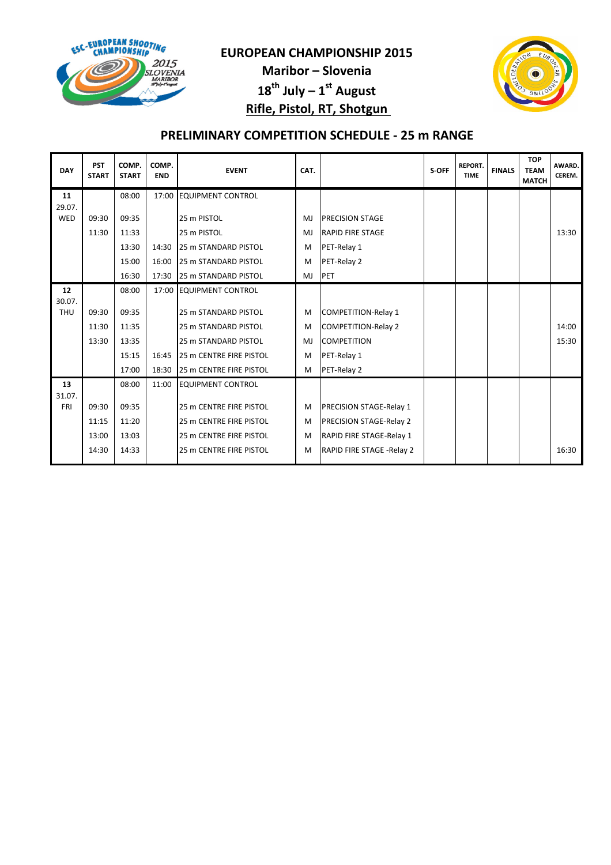

Maribor – Slovenia  $18^{th}$  July –  $1^{st}$  August Rifle, Pistol, RT, Shotgun



# PRELIMINARY COMPETITION SCHEDULE - 25 m RANGE

| <b>DAY</b>           | <b>PST</b><br><b>START</b> | COMP.<br><b>START</b> | COMP.<br><b>END</b> | <b>EVENT</b>                   | CAT. |                                | S-OFF | <b>REPORT.</b><br><b>TIME</b> | <b>FINALS</b> | <b>TOP</b><br><b>TEAM</b><br><b>MATCH</b> | AWARD.<br>CEREM. |
|----------------------|----------------------------|-----------------------|---------------------|--------------------------------|------|--------------------------------|-------|-------------------------------|---------------|-------------------------------------------|------------------|
| 11<br>29.07.         |                            | 08:00                 |                     | 17:00 EQUIPMENT CONTROL        |      |                                |       |                               |               |                                           |                  |
| WED                  | 09:30                      | 09:35                 |                     | 25 m PISTOL                    | MJ   | <b>PRECISION STAGE</b>         |       |                               |               |                                           |                  |
|                      | 11:30                      | 11:33                 |                     | 25 m PISTOL                    | MJ   | <b>RAPID FIRE STAGE</b>        |       |                               |               |                                           | 13:30            |
|                      |                            | 13:30                 | 14:30               | 25 m STANDARD PISTOL           | M    | PET-Relay 1                    |       |                               |               |                                           |                  |
|                      |                            | 15:00                 | 16:00               | <b>25 m STANDARD PISTOL</b>    | M    | PET-Relay 2                    |       |                               |               |                                           |                  |
|                      |                            | 16:30                 | 17:30               | 25 m STANDARD PISTOL           | MJ   | PET                            |       |                               |               |                                           |                  |
| 12                   |                            | 08:00                 |                     | 17:00 EQUIPMENT CONTROL        |      |                                |       |                               |               |                                           |                  |
| 30.07.<br><b>THU</b> | 09:30                      | 09:35                 |                     | 25 m STANDARD PISTOL           | M    | <b>COMPETITION-Relay 1</b>     |       |                               |               |                                           |                  |
|                      | 11:30                      | 11:35                 |                     | 25 m STANDARD PISTOL           | M    | <b>COMPETITION-Relay 2</b>     |       |                               |               |                                           | 14:00            |
|                      | 13:30                      | 13:35                 |                     | 25 m STANDARD PISTOL           | MJ   | <b>COMPETITION</b>             |       |                               |               |                                           | 15:30            |
|                      |                            | 15:15                 | 16:45               | <b>25 m CENTRE FIRE PISTOL</b> | M    | PET-Relay 1                    |       |                               |               |                                           |                  |
|                      |                            | 17:00                 | 18:30               | 25 m CENTRE FIRE PISTOL        | M    | PET-Relay 2                    |       |                               |               |                                           |                  |
| 13<br>31.07.         |                            | 08:00                 | 11:00               | <b>EQUIPMENT CONTROL</b>       |      |                                |       |                               |               |                                           |                  |
| <b>FRI</b>           | 09:30                      | 09:35                 |                     | 25 m CENTRE FIRE PISTOL        | M    | <b>PRECISION STAGE-Relay 1</b> |       |                               |               |                                           |                  |
|                      | 11:15                      | 11:20                 |                     | 25 m CENTRE FIRE PISTOL        | M    | <b>PRECISION STAGE-Relay 2</b> |       |                               |               |                                           |                  |
|                      | 13:00                      | 13:03                 |                     | 25 m CENTRE FIRE PISTOL        | M    | RAPID FIRE STAGE-Relay 1       |       |                               |               |                                           |                  |
|                      | 14:30                      | 14:33                 |                     | 25 m CENTRE FIRE PISTOL        | M    | RAPID FIRE STAGE - Relay 2     |       |                               |               |                                           | 16:30            |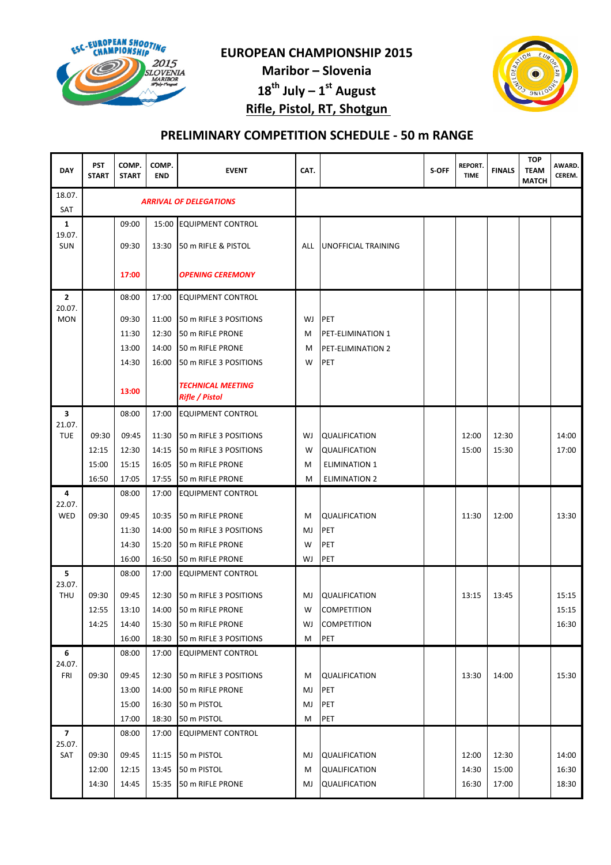

Maribor – Slovenia

 $18^{th}$  July –  $1^{st}$  August

Rifle, Pistol, RT, Shotgun



# PRELIMINARY COMPETITION SCHEDULE - 50 m RANGE

| <b>DAY</b>           | <b>PST</b><br><b>START</b> | COMP.<br><b>START</b> | COMP.<br><b>END</b> | <b>EVENT</b>                                      | CAT.       |                            | S-OFF | <b>REPORT.</b><br><b>TIME</b> | <b>FINALS</b> | <b>TOP</b><br><b>TEAM</b><br><b>MATCH</b> | AWARD.<br>CEREM. |
|----------------------|----------------------------|-----------------------|---------------------|---------------------------------------------------|------------|----------------------------|-------|-------------------------------|---------------|-------------------------------------------|------------------|
| 18.07.<br><b>SAT</b> |                            |                       |                     | <b>ARRIVAL OF DELEGATIONS</b>                     |            |                            |       |                               |               |                                           |                  |
| 1                    |                            | 09:00                 |                     | 15:00 EQUIPMENT CONTROL                           |            |                            |       |                               |               |                                           |                  |
| 19.07.<br><b>SUN</b> |                            | 09:30                 | 13:30               | 50 m RIFLE & PISTOL                               | <b>ALL</b> | <b>UNOFFICIAL TRAINING</b> |       |                               |               |                                           |                  |
|                      |                            | 17:00                 |                     | <b>OPENING CEREMONY</b>                           |            |                            |       |                               |               |                                           |                  |
| 2                    |                            | 08:00                 | 17:00               | <b>EQUIPMENT CONTROL</b>                          |            |                            |       |                               |               |                                           |                  |
| 20.07.<br><b>MON</b> |                            | 09:30                 | 11:00               | 50 m RIFLE 3 POSITIONS                            | WJ         | PET                        |       |                               |               |                                           |                  |
|                      |                            | 11:30                 | 12:30               | 50 m RIFLE PRONE                                  | M          | PET-ELIMINATION 1          |       |                               |               |                                           |                  |
|                      |                            | 13:00                 | 14:00               | 50 m RIFLE PRONE                                  | M          | <b>PET-ELIMINATION 2</b>   |       |                               |               |                                           |                  |
|                      |                            | 14:30                 | 16:00               | 50 m RIFLE 3 POSITIONS                            | W          | <b>PET</b>                 |       |                               |               |                                           |                  |
|                      |                            | 13:00                 |                     | <b>TECHNICAL MEETING</b><br><b>Rifle / Pistol</b> |            |                            |       |                               |               |                                           |                  |
| 3                    |                            | 08:00                 | 17:00               | <b>EQUIPMENT CONTROL</b>                          |            |                            |       |                               |               |                                           |                  |
| 21.07.<br><b>TUE</b> | 09:30                      | 09:45                 | 11:30               | 50 m RIFLE 3 POSITIONS                            | WJ         | <b>QUALIFICATION</b>       |       | 12:00                         | 12:30         |                                           | 14:00            |
|                      | 12:15                      | 12:30                 | 14:15               | 50 m RIFLE 3 POSITIONS                            | W          | QUALIFICATION              |       | 15:00                         | 15:30         |                                           | 17:00            |
|                      | 15:00                      | 15:15                 | 16:05               | 50 m RIFLE PRONE                                  | M          | <b>ELIMINATION 1</b>       |       |                               |               |                                           |                  |
|                      | 16:50                      | 17:05                 | 17:55               | 50 m RIFLE PRONE                                  | M          | <b>ELIMINATION 2</b>       |       |                               |               |                                           |                  |
| 4                    |                            | 08:00                 | 17:00               | <b>EQUIPMENT CONTROL</b>                          |            |                            |       |                               |               |                                           |                  |
| 22.07.               |                            |                       |                     |                                                   |            |                            |       |                               |               |                                           |                  |
| WED                  | 09:30                      | 09:45                 | 10:35               | 50 m RIFLE PRONE                                  | M          | <b>QUALIFICATION</b>       |       | 11:30                         | 12:00         |                                           | 13:30            |
|                      |                            | 11:30<br>14:30        | 14:00<br>15:20      | 50 m RIFLE 3 POSITIONS<br>50 m RIFLE PRONE        | MJ<br>W    | <b>PET</b><br><b>PET</b>   |       |                               |               |                                           |                  |
|                      |                            | 16:00                 | 16:50               | 50 m RIFLE PRONE                                  | WJ         | PET                        |       |                               |               |                                           |                  |
| 5                    |                            | 08:00                 | 17:00               | <b>EQUIPMENT CONTROL</b>                          |            |                            |       |                               |               |                                           |                  |
| 23.07.               |                            |                       |                     |                                                   |            |                            |       |                               |               |                                           |                  |
| <b>THU</b>           | 09:30                      | 09:45                 | 12:30               | 50 m RIFLE 3 POSITIONS                            | MJ         | <b>QUALIFICATION</b>       |       | 13:15                         | 13:45         |                                           | 15:15            |
|                      | 12:55                      | 13:10                 |                     | 14:00 50 m RIFLE PRONE                            | W          | <b>COMPETITION</b>         |       |                               |               |                                           | 15:15            |
|                      | 14:25                      | 14:40                 |                     | 15:30 50 m RIFLE PRONE                            | WJ         | <b>COMPETITION</b>         |       |                               |               |                                           | 16:30            |
|                      |                            | 16:00                 | 18:30               | 50 m RIFLE 3 POSITIONS                            | M          | PET                        |       |                               |               |                                           |                  |
| 6<br>24.07.          |                            | 08:00                 | 17:00               | <b>EQUIPMENT CONTROL</b>                          |            |                            |       |                               |               |                                           |                  |
| FRI                  | 09:30                      | 09:45                 | 12:30               | 50 m RIFLE 3 POSITIONS                            | M          | <b>QUALIFICATION</b>       |       | 13:30                         | 14:00         |                                           | 15:30            |
|                      |                            | 13:00                 | 14:00               | 50 m RIFLE PRONE                                  | MJ         | <b>PET</b>                 |       |                               |               |                                           |                  |
|                      |                            | 15:00                 | 16:30               | 50 m PISTOL                                       | MJ         | PET                        |       |                               |               |                                           |                  |
|                      |                            | 17:00                 | 18:30               | 50 m PISTOL                                       | M          | PET                        |       |                               |               |                                           |                  |
| 7                    |                            | 08:00                 | 17:00               | <b>EQUIPMENT CONTROL</b>                          |            |                            |       |                               |               |                                           |                  |
| 25.07.<br>SAT        | 09:30                      | 09:45                 | 11:15               | 50 m PISTOL                                       | MJ         | <b>QUALIFICATION</b>       |       | 12:00                         | 12:30         |                                           | 14:00            |
|                      | 12:00                      | 12:15                 | 13:45               | 50 m PISTOL                                       | M          | <b>QUALIFICATION</b>       |       | 14:30                         | 15:00         |                                           | 16:30            |
|                      | 14:30                      | 14:45                 | 15:35               | 50 m RIFLE PRONE                                  | MJ         | QUALIFICATION              |       | 16:30                         | 17:00         |                                           | 18:30            |
|                      |                            |                       |                     |                                                   |            |                            |       |                               |               |                                           |                  |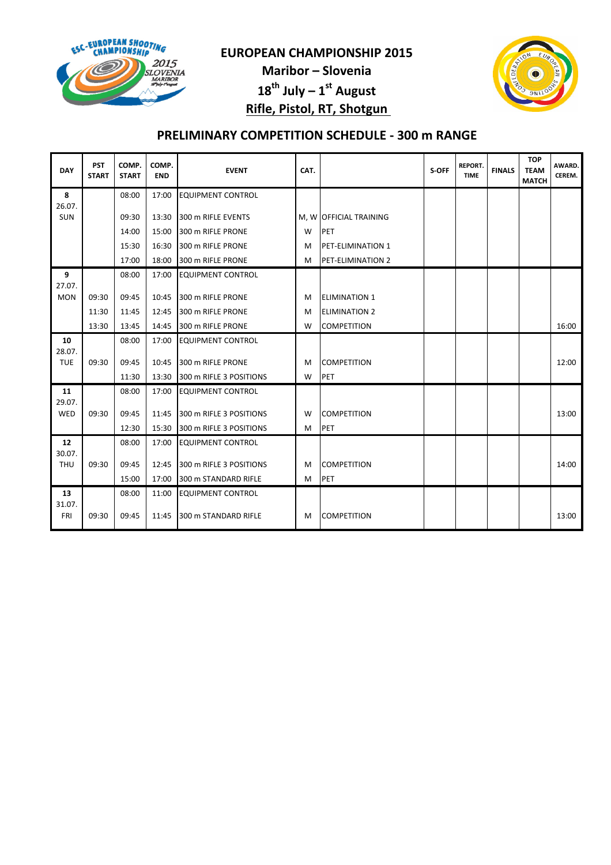

Maribor – Slovenia  $18^{th}$  July –  $1^{st}$  August Rifle, Pistol, RT, Shotgun



# PRELIMINARY COMPETITION SCHEDULE - 300 m RANGE

| <b>DAY</b>           | <b>PST</b><br><b>START</b> | COMP.<br><b>START</b> | COMP.<br><b>END</b> | <b>EVENT</b>             | CAT. |                          | S-OFF | <b>REPORT.</b><br><b>TIME</b> | <b>FINALS</b> | <b>TOP</b><br><b>TEAM</b><br><b>MATCH</b> | AWARD.<br>CEREM. |
|----------------------|----------------------------|-----------------------|---------------------|--------------------------|------|--------------------------|-------|-------------------------------|---------------|-------------------------------------------|------------------|
| 8                    |                            | 08:00                 | 17:00               | <b>EQUIPMENT CONTROL</b> |      |                          |       |                               |               |                                           |                  |
| 26.07.<br><b>SUN</b> |                            | 09:30                 | 13:30               | 300 m RIFLE EVENTS       |      | M, W OFFICIAL TRAINING   |       |                               |               |                                           |                  |
|                      |                            | 14:00                 | 15:00               | 300 m RIFLE PRONE        | W    | PET                      |       |                               |               |                                           |                  |
|                      |                            | 15:30                 | 16:30               | 300 m RIFLE PRONE        | м    | <b>PET-ELIMINATION 1</b> |       |                               |               |                                           |                  |
|                      |                            | 17:00                 | 18:00               | 300 m RIFLE PRONE        | м    | PET-ELIMINATION 2        |       |                               |               |                                           |                  |
| 9                    |                            | 08:00                 | 17:00               | <b>EQUIPMENT CONTROL</b> |      |                          |       |                               |               |                                           |                  |
| 27.07.<br><b>MON</b> | 09:30                      | 09:45                 | 10:45               | 300 m RIFLE PRONE        | м    | <b>ELIMINATION 1</b>     |       |                               |               |                                           |                  |
|                      | 11:30                      | 11:45                 | 12:45               | 300 m RIFLE PRONE        | м    | <b>ELIMINATION 2</b>     |       |                               |               |                                           |                  |
|                      | 13:30                      | 13:45                 | 14:45               | 300 m RIFLE PRONE        | W    | <b>COMPETITION</b>       |       |                               |               |                                           | 16:00            |
| 10                   |                            | 08:00                 | 17:00               | <b>EQUIPMENT CONTROL</b> |      |                          |       |                               |               |                                           |                  |
| 28.07.               |                            |                       |                     |                          |      |                          |       |                               |               |                                           |                  |
| <b>TUE</b>           | 09:30                      | 09:45                 | 10:45               | 300 m RIFLE PRONE        | M    | <b>COMPETITION</b>       |       |                               |               |                                           | 12:00            |
|                      |                            | 11:30                 | 13:30               | 300 m RIFLE 3 POSITIONS  | W    | PET                      |       |                               |               |                                           |                  |
| 11<br>29.07.         |                            | 08:00                 | 17:00               | <b>EQUIPMENT CONTROL</b> |      |                          |       |                               |               |                                           |                  |
| WED                  | 09:30                      | 09:45                 | 11:45               | 300 m RIFLE 3 POSITIONS  | W    | <b>COMPETITION</b>       |       |                               |               |                                           | 13:00            |
|                      |                            | 12:30                 | 15:30               | 300 m RIFLE 3 POSITIONS  | M    | PET                      |       |                               |               |                                           |                  |
| 12                   |                            | 08:00                 | 17:00               | <b>EQUIPMENT CONTROL</b> |      |                          |       |                               |               |                                           |                  |
| 30.07.<br><b>THU</b> | 09:30                      | 09:45                 | 12:45               | 300 m RIFLE 3 POSITIONS  | M    | <b>COMPETITION</b>       |       |                               |               |                                           | 14:00            |
|                      |                            | 15:00                 | 17:00               | 300 m STANDARD RIFLE     | M    | PET                      |       |                               |               |                                           |                  |
| 13                   |                            | 08:00                 | 11:00               | <b>EQUIPMENT CONTROL</b> |      |                          |       |                               |               |                                           |                  |
| 31.07.<br>FRI        | 09:30                      | 09:45                 | 11:45               | 300 m STANDARD RIFLE     | M    | <b>COMPETITION</b>       |       |                               |               |                                           | 13:00            |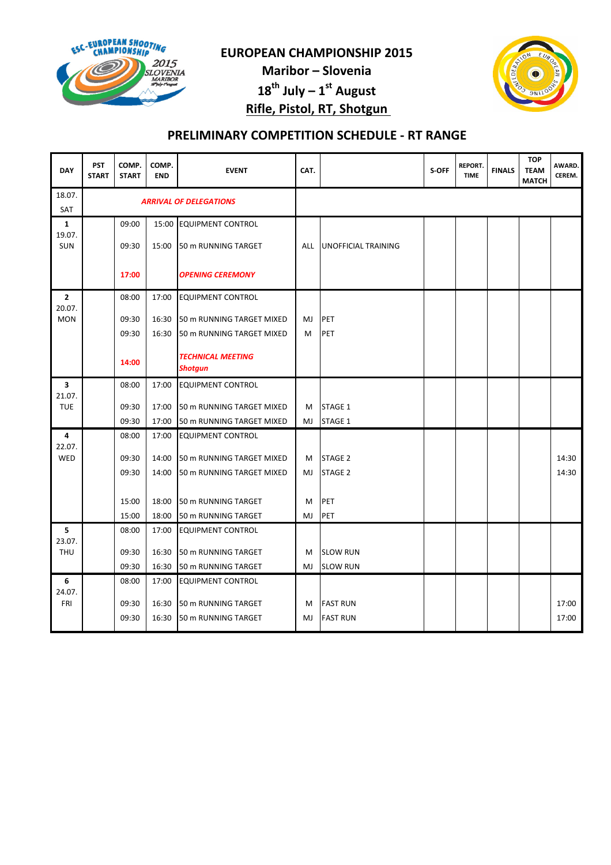

Maribor – Slovenia  $18^{th}$  July –  $1^{st}$  August

Rifle, Pistol, RT, Shotgun



# PRELIMINARY COMPETITION SCHEDULE - RT RANGE

| <b>DAY</b>           | <b>PST</b><br><b>START</b> | COMP.<br><b>START</b> | COMP.<br><b>END</b> | <b>EVENT</b>                        | CAT.       |                     | S-OFF | <b>REPORT.</b><br><b>TIME</b> | <b>FINALS</b> | <b>TOP</b><br><b>TEAM</b><br><b>MATCH</b> | AWARD.<br>CEREM. |
|----------------------|----------------------------|-----------------------|---------------------|-------------------------------------|------------|---------------------|-------|-------------------------------|---------------|-------------------------------------------|------------------|
| 18.07.<br><b>SAT</b> |                            |                       |                     | <b>ARRIVAL OF DELEGATIONS</b>       |            |                     |       |                               |               |                                           |                  |
| $\mathbf{1}$         |                            | 09:00                 |                     | 15:00 EQUIPMENT CONTROL             |            |                     |       |                               |               |                                           |                  |
| 19.07.<br><b>SUN</b> |                            | 09:30                 | 15:00               | 50 m RUNNING TARGET                 | <b>ALL</b> | UNOFFICIAL TRAINING |       |                               |               |                                           |                  |
|                      |                            | 17:00                 |                     | <b>OPENING CEREMONY</b>             |            |                     |       |                               |               |                                           |                  |
| 2<br>20.07.          |                            | 08:00                 | 17:00               | <b>EQUIPMENT CONTROL</b>            |            |                     |       |                               |               |                                           |                  |
| <b>MON</b>           |                            | 09:30                 | 16:30               | 50 m RUNNING TARGET MIXED           | MJ         | PET                 |       |                               |               |                                           |                  |
|                      |                            | 09:30                 | 16:30               | 50 m RUNNING TARGET MIXED           | M          | PET                 |       |                               |               |                                           |                  |
|                      |                            | 14:00                 |                     | <b>TECHNICAL MEETING</b><br>Shotgun |            |                     |       |                               |               |                                           |                  |
| 3                    |                            | 08:00                 | 17:00               | <b>EQUIPMENT CONTROL</b>            |            |                     |       |                               |               |                                           |                  |
| 21.07.<br><b>TUE</b> |                            | 09:30                 | 17:00               | 50 m RUNNING TARGET MIXED           | м          | STAGE 1             |       |                               |               |                                           |                  |
|                      |                            | 09:30                 | 17:00               | 50 m RUNNING TARGET MIXED           | MJ         | STAGE 1             |       |                               |               |                                           |                  |
| 4                    |                            | 08:00                 | 17:00               | <b>EQUIPMENT CONTROL</b>            |            |                     |       |                               |               |                                           |                  |
| 22.07.<br>WED        |                            | 09:30                 | 14:00               | <b>50 m RUNNING TARGET MIXED</b>    | M          | <b>STAGE 2</b>      |       |                               |               |                                           | 14:30            |
|                      |                            | 09:30                 | 14:00               | 50 m RUNNING TARGET MIXED           | MJ         | STAGE 2             |       |                               |               |                                           | 14:30            |
|                      |                            |                       |                     |                                     |            |                     |       |                               |               |                                           |                  |
|                      |                            | 15:00                 | 18:00               | 50 m RUNNING TARGET                 | м          | PET                 |       |                               |               |                                           |                  |
|                      |                            | 15:00                 | 18:00               | 50 m RUNNING TARGET                 | MJ         | PET                 |       |                               |               |                                           |                  |
| 5<br>23.07.          |                            | 08:00                 | 17:00               | <b>EQUIPMENT CONTROL</b>            |            |                     |       |                               |               |                                           |                  |
| <b>THU</b>           |                            | 09:30                 | 16:30               | 50 m RUNNING TARGET                 | м          | <b>SLOW RUN</b>     |       |                               |               |                                           |                  |
|                      |                            | 09:30                 | 16:30               | 50 m RUNNING TARGET                 | MJ         | <b>SLOW RUN</b>     |       |                               |               |                                           |                  |
| 6                    |                            | 08:00                 | 17:00               | <b>EQUIPMENT CONTROL</b>            |            |                     |       |                               |               |                                           |                  |
| 24.07.<br>FRI        |                            | 09:30                 | 16:30               | 50 m RUNNING TARGET                 | M          | <b>FAST RUN</b>     |       |                               |               |                                           | 17:00            |
|                      |                            | 09:30                 | 16:30               | 50 m RUNNING TARGET                 | MJ         | <b>FAST RUN</b>     |       |                               |               |                                           | 17:00            |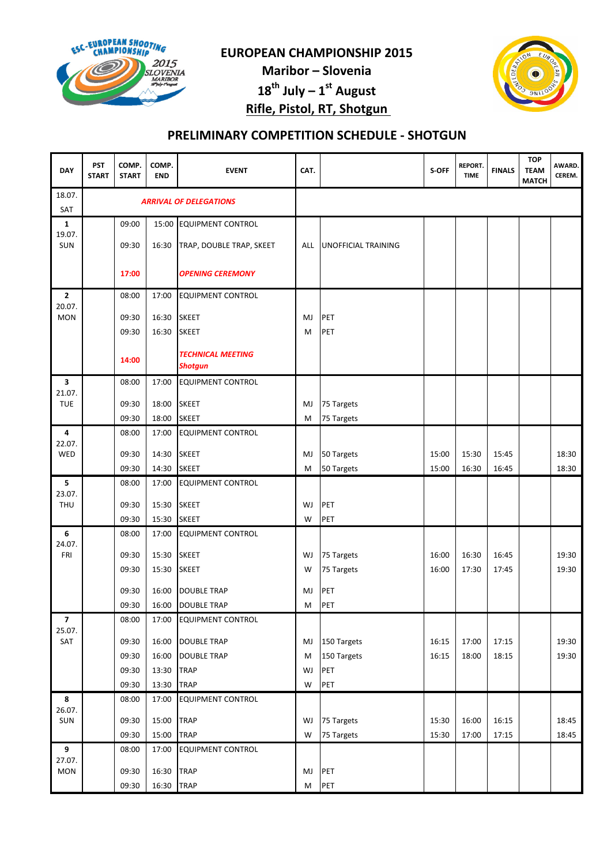

Maribor – Slovenia  $18^{th}$  July –  $1^{st}$  August Rifle, Pistol, RT, Shotgun



# PRELIMINARY COMPETITION SCHEDULE - SHOTGUN

| <b>DAY</b>                        | PST<br><b>START</b> | COMP.<br><b>START</b> | COMP.<br><b>END</b> | <b>EVENT</b>                        | CAT.    |                            | S-OFF | <b>REPORT.</b><br><b>TIME</b> | <b>FINALS</b> | <b>TOP</b><br><b>TEAM</b><br><b>MATCH</b> | AWARD.<br>CEREM. |
|-----------------------------------|---------------------|-----------------------|---------------------|-------------------------------------|---------|----------------------------|-------|-------------------------------|---------------|-------------------------------------------|------------------|
| 18.07.<br><b>SAT</b>              |                     |                       |                     | <b>ARRIVAL OF DELEGATIONS</b>       |         |                            |       |                               |               |                                           |                  |
| 1                                 |                     | 09:00                 |                     | 15:00 EQUIPMENT CONTROL             |         |                            |       |                               |               |                                           |                  |
| 19.07.<br>SUN                     |                     | 09:30                 | 16:30               | TRAP, DOUBLE TRAP, SKEET            | ALL     | <b>UNOFFICIAL TRAINING</b> |       |                               |               |                                           |                  |
|                                   |                     | 17:00                 |                     | <b>OPENING CEREMONY</b>             |         |                            |       |                               |               |                                           |                  |
| $\mathbf{2}$                      |                     | 08:00                 | 17:00               | <b>EQUIPMENT CONTROL</b>            |         |                            |       |                               |               |                                           |                  |
| 20.07.<br><b>MON</b>              |                     | 09:30                 | 16:30               | <b>SKEET</b>                        | MJ      | PET                        |       |                               |               |                                           |                  |
|                                   |                     | 09:30                 | 16:30               | <b>SKEET</b>                        | М       | PET                        |       |                               |               |                                           |                  |
|                                   |                     | 14:00                 |                     | <b>TECHNICAL MEETING</b><br>Shotgun |         |                            |       |                               |               |                                           |                  |
| 3                                 |                     | 08:00                 | 17:00               | <b>EQUIPMENT CONTROL</b>            |         |                            |       |                               |               |                                           |                  |
| 21.07.                            |                     |                       |                     |                                     |         |                            |       |                               |               |                                           |                  |
| <b>TUE</b>                        |                     | 09:30<br>09:30        | 18:00<br>18:00      | <b>SKEET</b><br><b>SKEET</b>        | MJ<br>М | 75 Targets<br>75 Targets   |       |                               |               |                                           |                  |
| 4                                 |                     | 08:00                 | 17:00               | <b>EQUIPMENT CONTROL</b>            |         |                            |       |                               |               |                                           |                  |
| 22.07.                            |                     |                       |                     |                                     |         |                            |       |                               |               |                                           |                  |
| WED                               |                     | 09:30                 | 14:30               | <b>SKEET</b>                        | MJ      | 50 Targets                 | 15:00 | 15:30                         | 15:45         |                                           | 18:30            |
|                                   |                     | 09:30                 | 14:30               | <b>SKEET</b>                        | M       | 50 Targets                 | 15:00 | 16:30                         | 16:45         |                                           | 18:30            |
| 5<br>23.07.                       |                     | 08:00                 | 17:00               | <b>EQUIPMENT CONTROL</b>            |         |                            |       |                               |               |                                           |                  |
| THU                               |                     | 09:30                 | 15:30               | <b>SKEET</b>                        | WJ      | PET                        |       |                               |               |                                           |                  |
|                                   |                     | 09:30                 | 15:30               | <b>SKEET</b>                        | W       | PET                        |       |                               |               |                                           |                  |
| 6                                 |                     | 08:00                 | 17:00               | <b>EQUIPMENT CONTROL</b>            |         |                            |       |                               |               |                                           |                  |
| 24.07.<br>FRI                     |                     | 09:30                 | 15:30               | <b>SKEET</b>                        | WJ      |                            | 16:00 | 16:30                         | 16:45         |                                           | 19:30            |
|                                   |                     | 09:30                 | 15:30               | <b>SKEET</b>                        | W       | 75 Targets<br>75 Targets   | 16:00 | 17:30                         | 17:45         |                                           | 19:30            |
|                                   |                     |                       |                     |                                     |         |                            |       |                               |               |                                           |                  |
|                                   |                     | 09:30                 | 16:00               | <b>DOUBLE TRAP</b>                  | MJ      | PET                        |       |                               |               |                                           |                  |
|                                   |                     | 09:30                 | 16:00               | <b>DOUBLE TRAP</b>                  | М       | PET                        |       |                               |               |                                           |                  |
| $\overline{\mathbf{z}}$<br>25.07. |                     | 08:00                 | 17:00               | <b>EQUIPMENT CONTROL</b>            |         |                            |       |                               |               |                                           |                  |
| SAT                               |                     | 09:30                 | 16:00               | <b>DOUBLE TRAP</b>                  | MJ      | 150 Targets                | 16:15 | 17:00                         | 17:15         |                                           | 19:30            |
|                                   |                     | 09:30                 | 16:00               | <b>DOUBLE TRAP</b>                  | M       | 150 Targets                | 16:15 | 18:00                         | 18:15         |                                           | 19:30            |
|                                   |                     | 09:30                 | 13:30               | <b>TRAP</b>                         | WJ      | PET                        |       |                               |               |                                           |                  |
|                                   |                     | 09:30                 | 13:30               | <b>TRAP</b>                         | W       | PET                        |       |                               |               |                                           |                  |
| 8                                 |                     | 08:00                 | 17:00               | <b>EQUIPMENT CONTROL</b>            |         |                            |       |                               |               |                                           |                  |
| 26.07.<br><b>SUN</b>              |                     | 09:30                 | 15:00               | <b>TRAP</b>                         | WJ      | 75 Targets                 | 15:30 | 16:00                         | 16:15         |                                           | 18:45            |
|                                   |                     | 09:30                 | 15:00               | <b>TRAP</b>                         | W       | 75 Targets                 | 15:30 | 17:00                         | 17:15         |                                           | 18:45            |
| 9                                 |                     | 08:00                 | 17:00               | <b>EQUIPMENT CONTROL</b>            |         |                            |       |                               |               |                                           |                  |
| 27.07.                            |                     |                       |                     |                                     |         |                            |       |                               |               |                                           |                  |
| <b>MON</b>                        |                     | 09:30                 | 16:30               | <b>TRAP</b>                         | MJ      | PET                        |       |                               |               |                                           |                  |
|                                   |                     | 09:30                 | 16:30               | <b>TRAP</b>                         | M       | PET                        |       |                               |               |                                           |                  |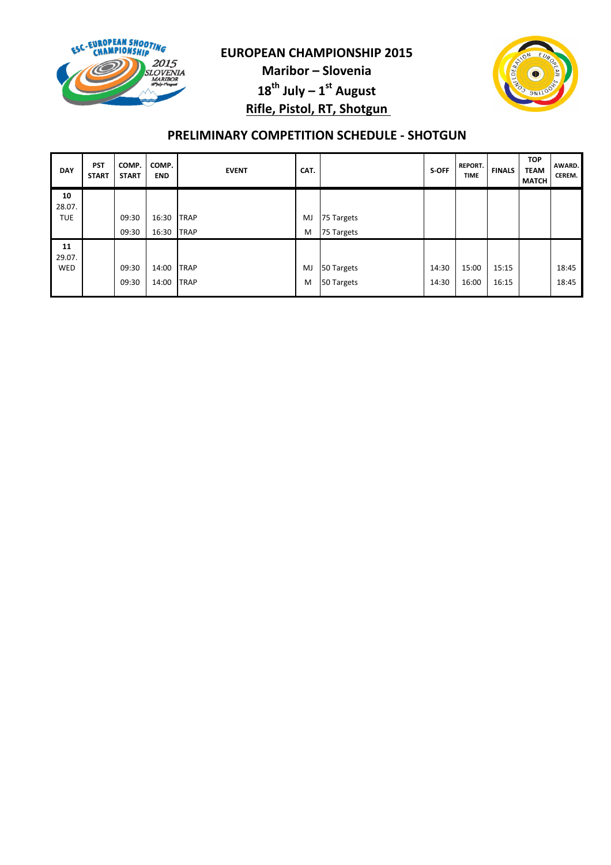

Maribor – Slovenia  $18^{th}$  July –  $1^{st}$  August Rifle, Pistol, RT, Shotgun



# PRELIMINARY COMPETITION SCHEDULE - SHOTGUN

| <b>PST</b><br><b>START</b> | COMP.<br><b>START</b> | COMP.<br><b>END</b> | <b>EVENT</b> | CAT.                                                     |            | S-OFF      | <b>REPORT.</b><br><b>TIME</b> | <b>FINALS</b> | <b>TOP</b><br><b>TEAM</b><br><b>MATCH</b> | AWARD.<br><b>CEREM.</b> |
|----------------------------|-----------------------|---------------------|--------------|----------------------------------------------------------|------------|------------|-------------------------------|---------------|-------------------------------------------|-------------------------|
|                            |                       |                     |              |                                                          |            |            |                               |               |                                           |                         |
|                            |                       |                     |              |                                                          |            |            |                               |               |                                           |                         |
|                            | 09:30                 | 16:30               |              | MJ                                                       | 75 Targets |            |                               |               |                                           |                         |
|                            | 09:30                 | 16:30               |              | M                                                        |            |            |                               |               |                                           |                         |
|                            |                       |                     |              |                                                          |            |            |                               |               |                                           |                         |
|                            |                       |                     |              |                                                          |            |            |                               |               |                                           |                         |
|                            | 09:30                 | 14:00               |              | MJ                                                       | 50 Targets | 14:30      | 15:00                         | 15:15         |                                           | 18:45                   |
|                            | 09:30                 | 14:00               |              | M                                                        | 50 Targets | 14:30      | 16:00                         | 16:15         |                                           | 18:45                   |
|                            |                       |                     |              | <b>TRAP</b><br><b>TRAP</b><br><b>TRAP</b><br><b>TRAP</b> |            | 75 Targets |                               |               |                                           |                         |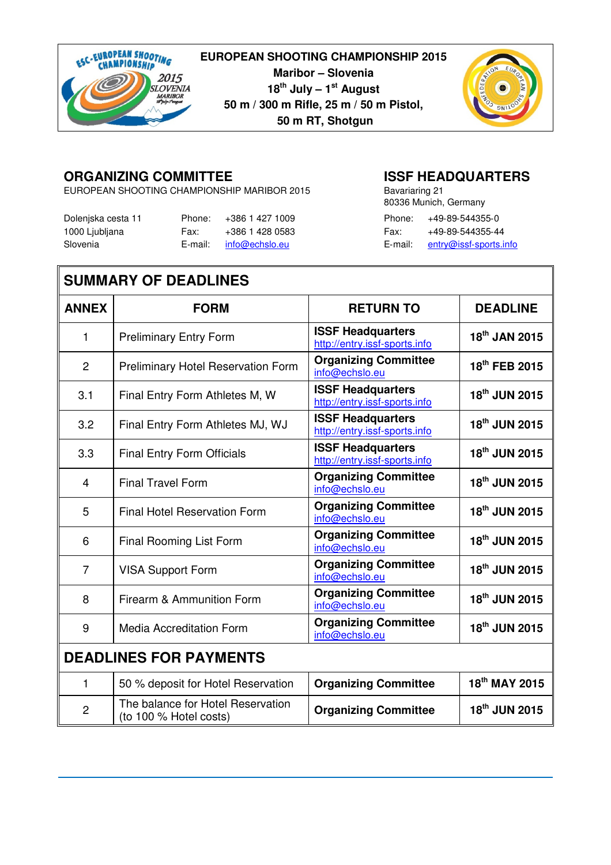

**Maribor – Slovenia 18th July – 1st August 50 m / 300 m Rifle, 25 m / 50 m Pistol, 50 m RT, Shotgun**



# **ORGANIZING COMMITTEE ISSF HEADQUARTERS**

EUROPEAN SHOOTING CHAMPIONSHIP MARIBOR 2015

| Dolenjska cesta 11 | Phone: | +386 1 427 1009        |      | Phone: $+49-89-544355-0$       |
|--------------------|--------|------------------------|------|--------------------------------|
| 1000 Ljubljana     | Fax:   | +386 1 428 0583        | Fax: | +49-89-544355-44               |
| Slovenia           |        | E-mail: info@echslo.eu |      | E-mail: entry@issf-sports.info |

| Bavariaring 21 |                        |
|----------------|------------------------|
|                | 80336 Munich, Germany  |
| Phone:         | +49-89-544355-0        |
| Fax:           | +49-89-544355-44       |
| E-mail:        | entry@issf-sports.info |

# **SUMMARY OF DEADLINES**

| <b>ANNEX</b>   | <b>FORM</b>                                                 | <b>RETURN TO</b>                                          | <b>DEADLINE</b>           |
|----------------|-------------------------------------------------------------|-----------------------------------------------------------|---------------------------|
| 1              | <b>Preliminary Entry Form</b>                               | <b>ISSF Headquarters</b><br>http://entry.issf-sports.info | 18 <sup>th</sup> JAN 2015 |
| $\overline{2}$ | <b>Preliminary Hotel Reservation Form</b>                   | <b>Organizing Committee</b><br>info@echslo.eu             | 18 <sup>th</sup> FEB 2015 |
| 3.1            | Final Entry Form Athletes M, W                              | <b>ISSF Headquarters</b><br>http://entry.issf-sports.info | 18 <sup>th</sup> JUN 2015 |
| 3.2            | Final Entry Form Athletes MJ, WJ                            | <b>ISSF Headquarters</b><br>http://entry.issf-sports.info | 18 <sup>th</sup> JUN 2015 |
| 3.3            | Final Entry Form Officials                                  | <b>ISSF Headquarters</b><br>http://entry.issf-sports.info | 18 <sup>th</sup> JUN 2015 |
| $\overline{4}$ | <b>Final Travel Form</b>                                    | <b>Organizing Committee</b><br>info@echslo.eu             | 18 <sup>th</sup> JUN 2015 |
| 5              | <b>Final Hotel Reservation Form</b>                         | <b>Organizing Committee</b><br>info@echslo.eu             | 18th JUN 2015             |
| 6              | Final Rooming List Form                                     | <b>Organizing Committee</b><br>info@echslo.eu             | 18 <sup>th</sup> JUN 2015 |
| $\overline{7}$ | <b>VISA Support Form</b>                                    | <b>Organizing Committee</b><br>info@echslo.eu             | 18 <sup>th</sup> JUN 2015 |
| 8              | Firearm & Ammunition Form                                   | <b>Organizing Committee</b><br>info@echslo.eu             | 18 <sup>th</sup> JUN 2015 |
| 9              | <b>Media Accreditation Form</b>                             | <b>Organizing Committee</b><br>info@echslo.eu             | 18th JUN 2015             |
|                | <b>DEADLINES FOR PAYMENTS</b>                               |                                                           |                           |
| 1              | 50 % deposit for Hotel Reservation                          | <b>Organizing Committee</b>                               | 18 <sup>th</sup> MAY 2015 |
| $\overline{2}$ | The balance for Hotel Reservation<br>(to 100 % Hotel costs) | <b>Organizing Committee</b>                               | 18 <sup>th</sup> JUN 2015 |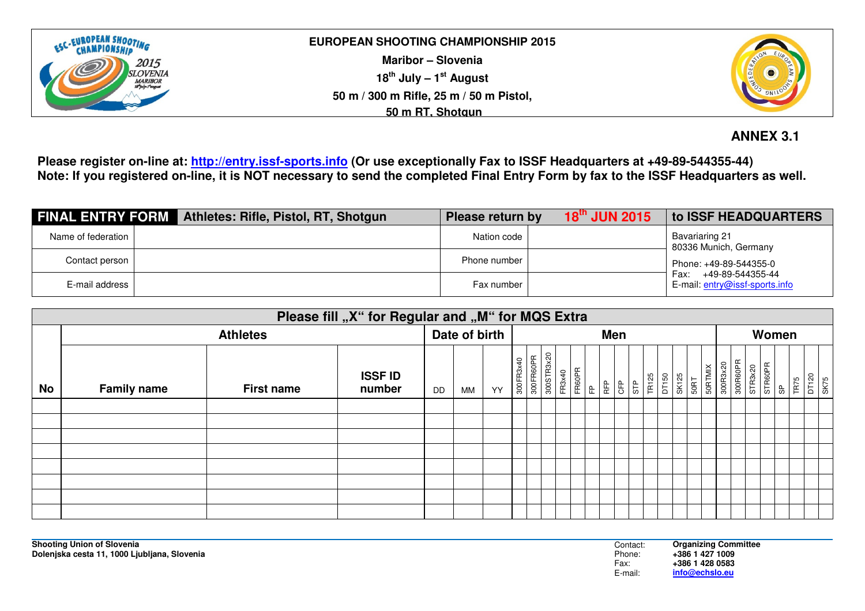

**Maribor – Slovenia 18th July – 1st August 50 m / 300 m Rifle, 25 m / 50 m Pistol, 50 m RT, Shotgun**



# **ANNEX 3.1**

**Please register on-line at: http://entry.issf-sports.info (Or use exceptionally Fax to ISSF Headquarters at +49-89-544355-44) Note: If you registered on-line, it is NOT necessary to send the completed Final Entry Form by fax to the ISSF Headquarters as well.** 

| <b>FINAL ENTRY FORM</b> Athletes: Rifle, Pistol, RT, Shotgun | $18^{\text{th}}$ JUN 2015<br>Please return by | to ISSF HEADQUARTERS                                       |  |  |  |
|--------------------------------------------------------------|-----------------------------------------------|------------------------------------------------------------|--|--|--|
| Name of federation                                           | Nation code                                   | Bavariaring 21<br>80336 Munich, Germany                    |  |  |  |
| Contact person                                               | Phone number                                  | Phone: +49-89-544355-0                                     |  |  |  |
| E-mail address                                               | Fax number                                    | +49-89-544355-44<br>Fax:<br>E-mail: entry@issf-sports.info |  |  |  |

|           | Please fill "X" for Regular and "M" for MQS Extra |                   |                          |    |               |    |           |                         |        |        |   |                      |     |       |                |      |  |                     |          |         |                |                       |                       |
|-----------|---------------------------------------------------|-------------------|--------------------------|----|---------------|----|-----------|-------------------------|--------|--------|---|----------------------|-----|-------|----------------|------|--|---------------------|----------|---------|----------------|-----------------------|-----------------------|
|           | <b>Athletes</b>                                   |                   |                          |    | Date of birth |    |           |                         | Men    |        |   |                      |     |       |                |      |  | Women               |          |         |                |                       |                       |
| <b>No</b> | <b>Family name</b>                                | <b>First name</b> | <b>ISSF ID</b><br>number | DD | МM            | YY | 300FR3x40 | 300STR3x20<br>300FR60PR | FR3x40 | FR60PR | E | <b>GFP</b><br>l<br>足 | STP | TR125 | DT150<br>SK125 | 50RT |  | 50RTMIX<br>300R3x20 | 300R60PR | STR3x20 | <b>STR60PR</b> | $\frac{\rho}{\infty}$ | DT120<br>SK75<br>TR75 |
|           |                                                   |                   |                          |    |               |    |           |                         |        |        |   |                      |     |       |                |      |  |                     |          |         |                |                       |                       |
|           |                                                   |                   |                          |    |               |    |           |                         |        |        |   |                      |     |       |                |      |  |                     |          |         |                |                       |                       |
|           |                                                   |                   |                          |    |               |    |           |                         |        |        |   |                      |     |       |                |      |  |                     |          |         |                |                       |                       |
|           |                                                   |                   |                          |    |               |    |           |                         |        |        |   |                      |     |       |                |      |  |                     |          |         |                |                       |                       |
|           |                                                   |                   |                          |    |               |    |           |                         |        |        |   |                      |     |       |                |      |  |                     |          |         |                |                       |                       |
|           |                                                   |                   |                          |    |               |    |           |                         |        |        |   |                      |     |       |                |      |  |                     |          |         |                |                       |                       |
|           |                                                   |                   |                          |    |               |    |           |                         |        |        |   |                      |     |       |                |      |  |                     |          |         |                |                       |                       |
|           |                                                   |                   |                          |    |               |    |           |                         |        |        |   |                      |     |       |                |      |  |                     |          |         |                |                       |                       |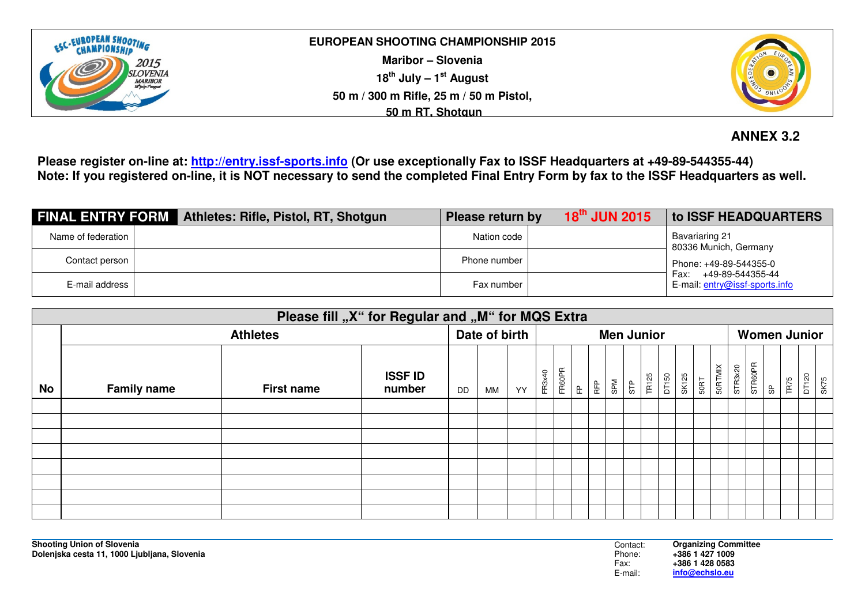

**Maribor – Slovenia 18th July – 1st August 50 m / 300 m Rifle, 25 m / 50 m Pistol, 50 m RT, Shotgun**



# **ANNEX 3.2**

**Please register on-line at: http://entry.issf-sports.info (Or use exceptionally Fax to ISSF Headquarters at +49-89-544355-44) Note: If you registered on-line, it is NOT necessary to send the completed Final Entry Form by fax to the ISSF Headquarters as well.** 

|                    | <b>FINAL ENTRY FORM</b> Athletes: Rifle, Pistol, RT, Shotgun | Please return by | $18^{\text{th}}$ JUN 2015 | <b>to ISSF HEADQUARTERS</b>                                |
|--------------------|--------------------------------------------------------------|------------------|---------------------------|------------------------------------------------------------|
| Name of federation |                                                              | Nation code      |                           | Bavariaring 21<br>80336 Munich, Germany                    |
| Contact person     |                                                              | Phone number     |                           | Phone: +49-89-544355-0                                     |
| E-mail address     |                                                              | Fax number       |                           | +49-89-544355-44<br>Fax:<br>E-mail: entry@issf-sports.info |

|           | Please fill "X" for Regular and "M" for MQS Extra |                   |                          |               |    |    |                   |        |   |    |     |     |              |       |                     |      |                |         |                |                    |       |      |
|-----------|---------------------------------------------------|-------------------|--------------------------|---------------|----|----|-------------------|--------|---|----|-----|-----|--------------|-------|---------------------|------|----------------|---------|----------------|--------------------|-------|------|
|           | <b>Athletes</b>                                   |                   |                          | Date of birth |    |    | <b>Men Junior</b> |        |   |    |     |     |              |       | <b>Women Junior</b> |      |                |         |                |                    |       |      |
| <b>No</b> | <b>Family name</b>                                | <b>First name</b> | <b>ISSF ID</b><br>number | <b>DD</b>     | MM | YY | FR3x40            | FR60PR | 운 | ÆP | SPM | STP | <b>TR125</b> | DT150 | SK125               | 50RT | <b>50RTMIX</b> | STR3x20 | <b>STR60PR</b> | <b>TR75</b><br>န္တ | DT120 | SK75 |
|           |                                                   |                   |                          |               |    |    |                   |        |   |    |     |     |              |       |                     |      |                |         |                |                    |       |      |
|           |                                                   |                   |                          |               |    |    |                   |        |   |    |     |     |              |       |                     |      |                |         |                |                    |       |      |
|           |                                                   |                   |                          |               |    |    |                   |        |   |    |     |     |              |       |                     |      |                |         |                |                    |       |      |
|           |                                                   |                   |                          |               |    |    |                   |        |   |    |     |     |              |       |                     |      |                |         |                |                    |       |      |
|           |                                                   |                   |                          |               |    |    |                   |        |   |    |     |     |              |       |                     |      |                |         |                |                    |       |      |
|           |                                                   |                   |                          |               |    |    |                   |        |   |    |     |     |              |       |                     |      |                |         |                |                    |       |      |
|           |                                                   |                   |                          |               |    |    |                   |        |   |    |     |     |              |       |                     |      |                |         |                |                    |       |      |
|           |                                                   |                   |                          |               |    |    |                   |        |   |    |     |     |              |       |                     |      |                |         |                |                    |       |      |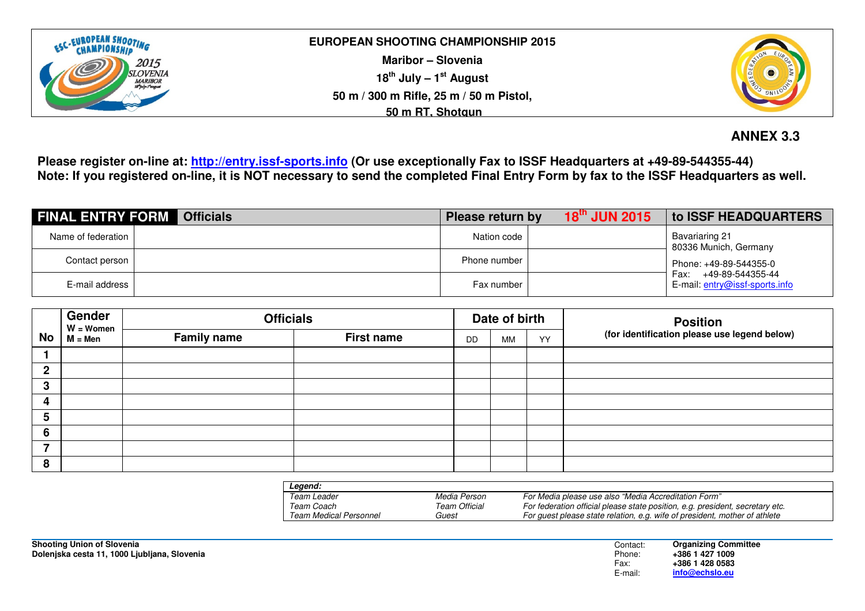

**Maribor – Slovenia 18th July – 1st August 50 m / 300 m Rifle, 25 m / 50 m Pistol, 50 m RT, Shotgun**



# **ANNEX 3.3**

**Please register on-line at: http://entry.issf-sports.info (Or use exceptionally Fax to ISSF Headquarters at +49-89-544355-44) Note: If you registered on-line, it is NOT necessary to send the completed Final Entry Form by fax to the ISSF Headquarters as well.** 

| <b>FINAL ENTRY FORM Officials</b> | Please return by | $18^{\text{th}}$ JUN 2015 | to ISSF HEADQUARTERS                                       |  |  |
|-----------------------------------|------------------|---------------------------|------------------------------------------------------------|--|--|
| Name of federation                | Nation code      |                           | Bavariaring 21<br>80336 Munich, Germany                    |  |  |
| Contact person                    | Phone number     |                           |                                                            |  |  |
| E-mail address                    | Fax number       |                           | +49-89-544355-44<br>Fax:<br>E-mail: entry@issf-sports.info |  |  |

|           | Gender<br>$W = W$ omen | <b>Officials</b>   |                   |           | Date of birth |    | <b>Position</b>                              |
|-----------|------------------------|--------------------|-------------------|-----------|---------------|----|----------------------------------------------|
| <b>No</b> | $M = Men$              | <b>Family name</b> | <b>First name</b> | <b>DD</b> | MM            | YY | (for identification please use legend below) |
|           |                        |                    |                   |           |               |    |                                              |
| ≏         |                        |                    |                   |           |               |    |                                              |
| n<br>J    |                        |                    |                   |           |               |    |                                              |
| 4         |                        |                    |                   |           |               |    |                                              |
| 5         |                        |                    |                   |           |               |    |                                              |
| 6         |                        |                    |                   |           |               |    |                                              |
|           |                        |                    |                   |           |               |    |                                              |
| -8        |                        |                    |                   |           |               |    |                                              |

| Leaend:                |               |                                                                               |
|------------------------|---------------|-------------------------------------------------------------------------------|
| Team Leader            | Media Person  | For Media please use also "Media Accreditation Form"                          |
| Team Coach             | Team Official | For federation official please state position, e.g. president, secretary etc. |
| Team Medical Personnel | Guest         | For quest please state relation, e.g. wife of president, mother of athlete    |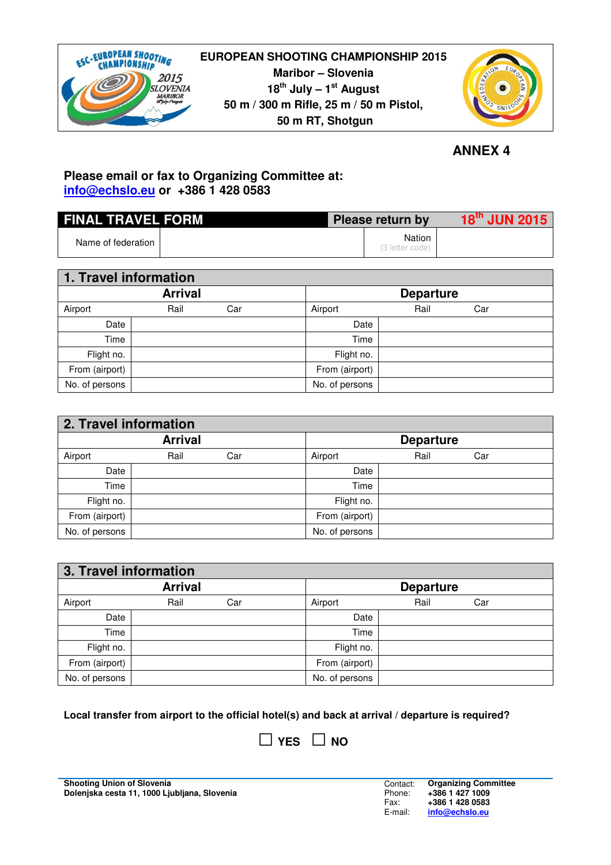

# **EUROPEAN SHOOTING CHAMPIONSHIP 2015 Maribor – Slovenia 18th July – 1st August 50 m / 300 m Rifle, 25 m / 50 m Pistol, 50 m RT, Shotgun**



 **ANNEX 4**

# **Please email or fax to Organizing Committee at: info@echslo.eu or +386 1 428 0583**

| <b>FINAL TRAVEL FORM</b> |  | Please return by |                           | $18^{\text{th}}$ JUN 2015 |
|--------------------------|--|------------------|---------------------------|---------------------------|
| Name of federation       |  |                  | Nation<br>(3 letter code) |                           |

| 1. Travel information |                |     |                |                  |     |  |
|-----------------------|----------------|-----|----------------|------------------|-----|--|
|                       | <b>Arrival</b> |     |                | <b>Departure</b> |     |  |
| Airport               | Rail           | Car | Airport        | Rail             | Car |  |
| Date                  |                |     | Date           |                  |     |  |
| Time                  |                |     | Time           |                  |     |  |
| Flight no.            |                |     | Flight no.     |                  |     |  |
| From (airport)        |                |     | From (airport) |                  |     |  |
| No. of persons        |                |     | No. of persons |                  |     |  |

| 2. Travel information |      |     |                |                  |     |  |
|-----------------------|------|-----|----------------|------------------|-----|--|
| <b>Arrival</b>        |      |     |                | <b>Departure</b> |     |  |
| Airport               | Rail | Car | Airport        | Rail             | Car |  |
| Date                  |      |     | Date           |                  |     |  |
| Time                  |      |     | Time           |                  |     |  |
| Flight no.            |      |     | Flight no.     |                  |     |  |
| From (airport)        |      |     | From (airport) |                  |     |  |
| No. of persons        |      |     | No. of persons |                  |     |  |

| 3. Travel information |      |     |  |                  |      |     |  |
|-----------------------|------|-----|--|------------------|------|-----|--|
| <b>Arrival</b>        |      |     |  | <b>Departure</b> |      |     |  |
| Airport               | Rail | Car |  | Airport          | Rail | Car |  |
| Date                  |      |     |  | Date             |      |     |  |
| Time                  |      |     |  | Time             |      |     |  |
| Flight no.            |      |     |  | Flight no.       |      |     |  |
| From (airport)        |      |     |  | From (airport)   |      |     |  |
| No. of persons        |      |     |  | No. of persons   |      |     |  |

**Local transfer from airport to the official hotel(s) and back at arrival / departure is required?**

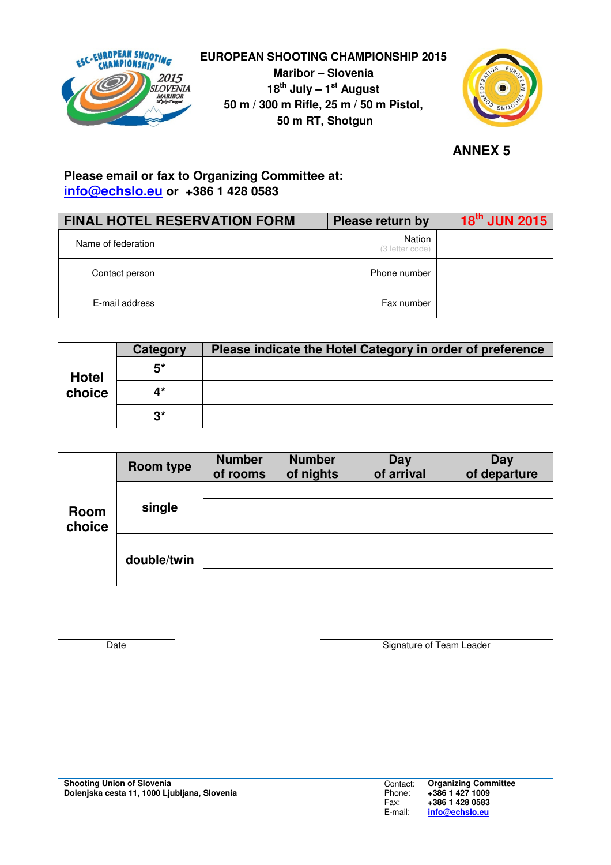



*<u>ANNEX 5</u>* 

# **Please email or fax to Organizing Committee at: info@echslo.eu or +386 1 428 0583**

|                    | <b>FINAL HOTEL RESERVATION FORM</b> | Please return by          | <b>18th JUN 2015</b> |
|--------------------|-------------------------------------|---------------------------|----------------------|
| Name of federation |                                     | Nation<br>(3 letter code) |                      |
| Contact person     |                                     | Phone number              |                      |
| E-mail address     |                                     | Fax number                |                      |

|              | Category | Please indicate the Hotel Category in order of preference |
|--------------|----------|-----------------------------------------------------------|
| <b>Hotel</b> | 5*       |                                                           |
| choice       | 4*       |                                                           |
|              | ^?       |                                                           |

|        | Room type   | <b>Number</b><br>of rooms | <b>Number</b><br>of nights | Day<br>of arrival | Day<br>of departure |
|--------|-------------|---------------------------|----------------------------|-------------------|---------------------|
|        |             |                           |                            |                   |                     |
| Room   | single      |                           |                            |                   |                     |
| choice |             |                           |                            |                   |                     |
|        | double/twin |                           |                            |                   |                     |
|        |             |                           |                            |                   |                     |
|        |             |                           |                            |                   |                     |

Date Signature of Team Leader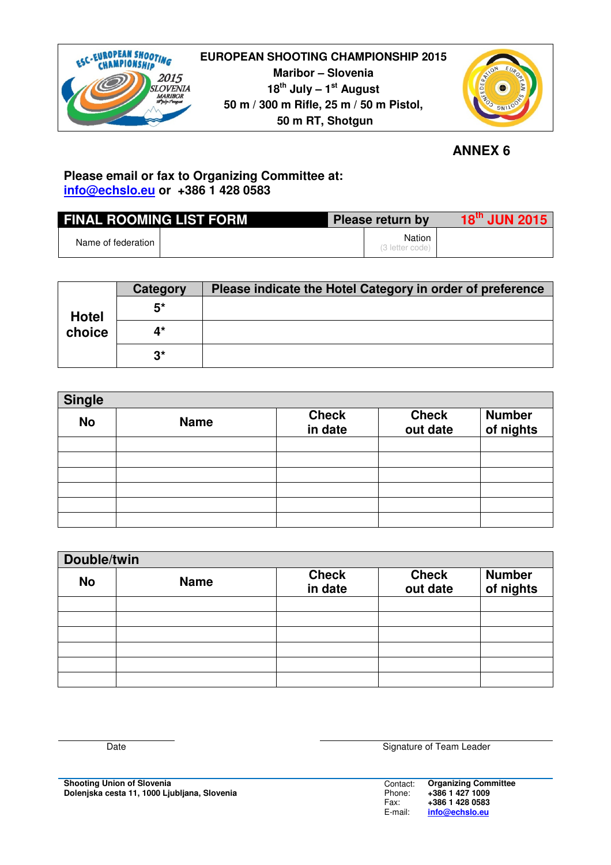

# **EUROPEAN SHOOTING CHAMPIONSHIP 2015 Maribor – Slovenia 18th July – 1st August 50 m / 300 m Rifle, 25 m / 50 m Pistol, 50 m RT, Shotgun**



 **ANNEX 6**

# **Please email or fax to Organizing Committee at: info@echslo.eu or +386 1 428 0583**

| <b>FINAL ROOMING LIST FORM</b> |  | Please return by          | $18^{\text{th}}$ JUN 2015 |
|--------------------------------|--|---------------------------|---------------------------|
| Name of federation             |  | Nation<br>(3 letter code) |                           |

|              | Category             | Please indicate the Hotel Category in order of preference |
|--------------|----------------------|-----------------------------------------------------------|
| <b>Hotel</b> | 5*                   |                                                           |
| choice       | $\mathbf{A}^{\star}$ |                                                           |
|              | $3^{\star}$          |                                                           |

| <b>Single</b> |             |                         |                          |                            |  |  |  |
|---------------|-------------|-------------------------|--------------------------|----------------------------|--|--|--|
| <b>No</b>     | <b>Name</b> | <b>Check</b><br>in date | <b>Check</b><br>out date | <b>Number</b><br>of nights |  |  |  |
|               |             |                         |                          |                            |  |  |  |
|               |             |                         |                          |                            |  |  |  |
|               |             |                         |                          |                            |  |  |  |
|               |             |                         |                          |                            |  |  |  |
|               |             |                         |                          |                            |  |  |  |
|               |             |                         |                          |                            |  |  |  |

| Double/twin |             |                         |                          |                            |  |  |
|-------------|-------------|-------------------------|--------------------------|----------------------------|--|--|
| <b>No</b>   | <b>Name</b> | <b>Check</b><br>in date | <b>Check</b><br>out date | <b>Number</b><br>of nights |  |  |
|             |             |                         |                          |                            |  |  |
|             |             |                         |                          |                            |  |  |
|             |             |                         |                          |                            |  |  |
|             |             |                         |                          |                            |  |  |
|             |             |                         |                          |                            |  |  |
|             |             |                         |                          |                            |  |  |

Contact: Phone: Fax: E-mail: **Organizing Committee +386 1 427 1009 +386 1 428 0583 info@echslo.eu**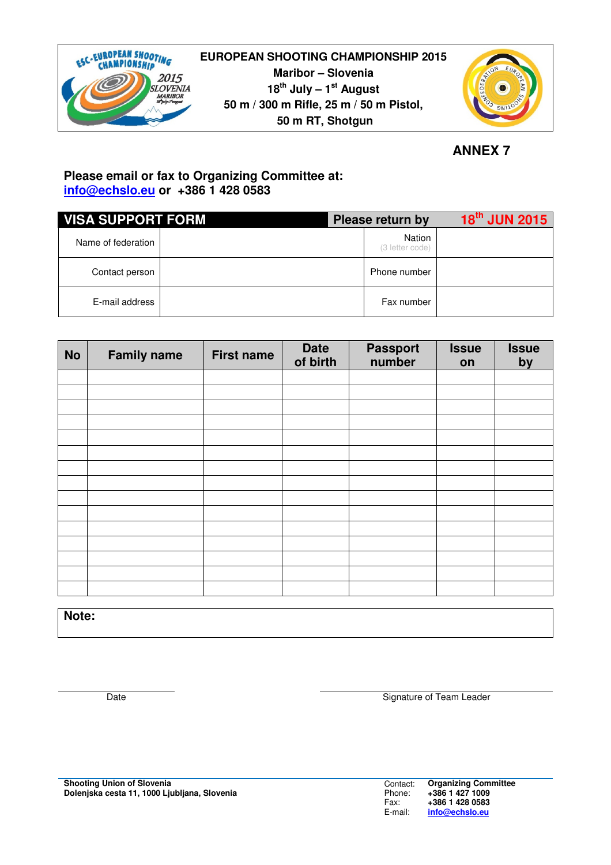

**EUROPEAN SHOOTING CHAMPIONSHIP 2015 Maribor – Slovenia 18th July – 1st August 50 m / 300 m Rifle, 25 m / 50 m Pistol, 50 m RT, Shotgun**



*<u>ANNEX 7</u>* 

# **Please email or fax to Organizing Committee at: info@echslo.eu or +386 1 428 0583**

| <b>VISA SUPPORT FORM</b> |  | Please return by          | 18 <sup>th</sup> JUN 2015 |
|--------------------------|--|---------------------------|---------------------------|
| Name of federation       |  | Nation<br>(3 letter code) |                           |
| Contact person           |  | Phone number              |                           |
| E-mail address           |  | Fax number                |                           |

| <b>No</b> | <b>Family name</b> | <b>First name</b> | Date<br>of birth | <b>Passport</b><br>number | <b>Issue</b><br>on | <b>Issue</b><br>by |
|-----------|--------------------|-------------------|------------------|---------------------------|--------------------|--------------------|
|           |                    |                   |                  |                           |                    |                    |
|           |                    |                   |                  |                           |                    |                    |
|           |                    |                   |                  |                           |                    |                    |
|           |                    |                   |                  |                           |                    |                    |
|           |                    |                   |                  |                           |                    |                    |
|           |                    |                   |                  |                           |                    |                    |
|           |                    |                   |                  |                           |                    |                    |
|           |                    |                   |                  |                           |                    |                    |
|           |                    |                   |                  |                           |                    |                    |
|           |                    |                   |                  |                           |                    |                    |
|           |                    |                   |                  |                           |                    |                    |
|           |                    |                   |                  |                           |                    |                    |
|           |                    |                   |                  |                           |                    |                    |
|           |                    |                   |                  |                           |                    |                    |
|           |                    |                   |                  |                           |                    |                    |
|           |                    |                   |                  |                           |                    |                    |

**Note:**

Date **Signature of Team Leader** Signature of Team Leader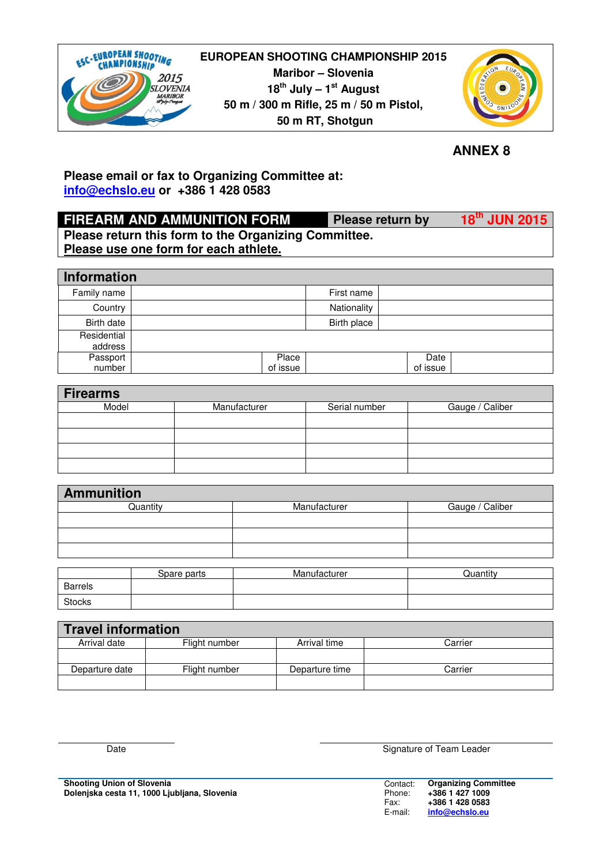



 **ANNEX 8**

# **Please email or fax to Organizing Committee at: info@echslo.eu or +386 1 428 0583**

# **FIREARM AND AMMUNITION FORM Please return by 18th JUN 2015 Please return this form to the Organizing Committee. Please use one form for each athlete.**

| Information            |          |             |          |  |
|------------------------|----------|-------------|----------|--|
| Family name            |          | First name  |          |  |
| Country                |          | Nationality |          |  |
| Birth date             |          | Birth place |          |  |
| Residential<br>address |          |             |          |  |
| Passport               |          | Place       | Date     |  |
| number                 | of issue |             | of issue |  |

| <b>Firearms</b> |              |               |                 |
|-----------------|--------------|---------------|-----------------|
| Model           | Manufacturer | Serial number | Gauge / Caliber |
|                 |              |               |                 |
|                 |              |               |                 |
|                 |              |               |                 |
|                 |              |               |                 |

| <b>Ammunition</b> |              |                 |
|-------------------|--------------|-----------------|
| Quantity          | Manufacturer | Gauge / Caliber |
|                   |              |                 |
|                   |              |                 |
|                   |              |                 |
|                   |              |                 |
| Spare parts       | Manufacturer | Quantity        |

|                | Spare parts | Manufacturer | ulantity |
|----------------|-------------|--------------|----------|
| <b>Barrels</b> |             |              |          |
| Stocks         |             |              |          |
|                |             |              |          |

| <b>Travel information</b> |               |                |         |
|---------------------------|---------------|----------------|---------|
| Arrival date              | Flight number | Arrival time   | Carrier |
|                           |               |                |         |
| Departure date            | Flight number | Departure time | Carrier |
|                           |               |                |         |

**Shooting Union of Slovenia Dolenjska cesta 11, 1000 Ljubljana, Slovenia** 

Date **Signature of Team Leader** 

| Contact: | <b>Organizing Committee</b> |
|----------|-----------------------------|
| Phone:   | +386 1 427 1009             |
| Fax:     | +386 1 428 0583             |
| E-mail:  | info@echslo.eu              |